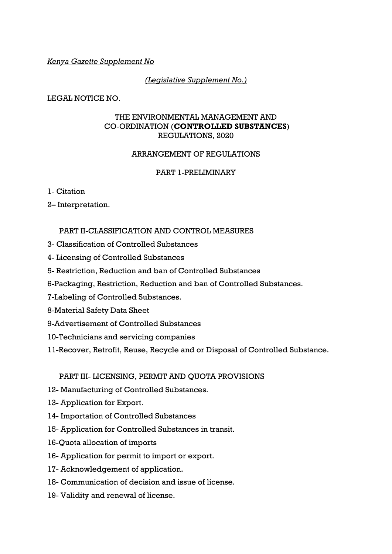## *Kenya Gazette Supplement No*

## *(Legislative Supplement No.)*

LEGAL NOTICE NO.

### THE ENVIRONMENTAL MANAGEMENT AND CO-ORDINATION (**CONTROLLED SUBSTANCES**) REGULATIONS, 2020

## ARRANGEMENT OF REGULATIONS

### PART 1-PRELIMINARY

1- Citation

2– Interpretation.

### PART II-CLASSIFICATION AND CONTROL MEASURES

- 3- Classification of Controlled Substances
- 4- Licensing of Controlled Substances
- 5- Restriction, Reduction and ban of Controlled Substances
- 6-Packaging, Restriction, Reduction and ban of Controlled Substances.
- 7-Labeling of Controlled Substances.
- 8-Material Safety Data Sheet
- 9-Advertisement of Controlled Substances
- 10-Technicians and servicing companies
- 11-Recover, Retrofit, Reuse, Recycle and or Disposal of Controlled Substance.

PART III- LICENSING, PERMIT AND QUOTA PROVISIONS

- 12- Manufacturing of Controlled Substances.
- 13- Application for Export.
- 14- Importation of Controlled Substances
- 15- Application for Controlled Substances in transit.
- 16-Quota allocation of imports
- 16- Application for permit to import or export.
- 17- Acknowledgement of application.
- 18- Communication of decision and issue of license.
- 19- Validity and renewal of license.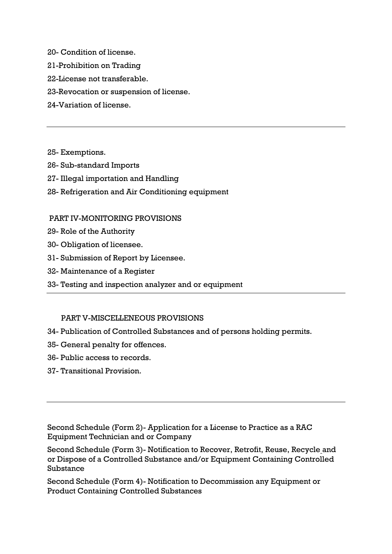20- Condition of license.

- 21-Prohibition on Trading
- 22-License not transferable.
- 23-Revocation or suspension of license.
- 24-Variation of license.

25- Exemptions.

- 26- Sub-standard Imports
- 27- Illegal importation and Handling
- 28- Refrigeration and Air Conditioning equipment

#### PART IV-MONITORING PROVISIONS

- 29- Role of the Authority
- 30- Obligation of licensee.
- 31- Submission of Report by Licensee.
- 32- Maintenance of a Register
- 33- Testing and inspection analyzer and or equipment

#### PART V-MISCELLENEOUS PROVISIONS

- 34- Publication of Controlled Substances and of persons holding permits.
- 35- General penalty for offences.
- 36- Public access to records.
- 37- Transitional Provision.

Second Schedule (Form 2)- Application for a License to Practice as a RAC Equipment Technician and or Company

Second Schedule (Form 3)- Notification to Recover, Retrofit, Reuse, Recycle and or Dispose of a Controlled Substance and/or Equipment Containing Controlled Substance

Second Schedule (Form 4)- Notification to Decommission any Equipment or Product Containing Controlled Substances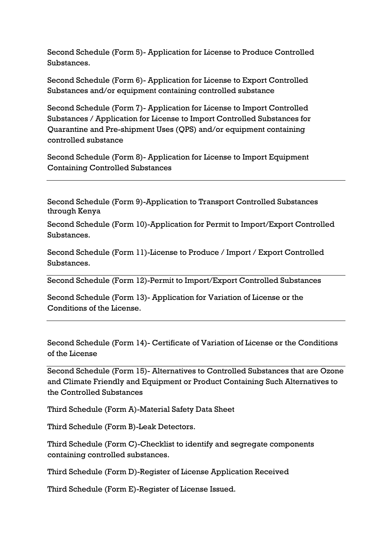Second Schedule (Form 5)- Application for License to Produce Controlled Substances.

Second Schedule (Form 6)- Application for License to Export Controlled Substances and/or equipment containing controlled substance

Second Schedule (Form 7)- Application for License to Import Controlled Substances / Application for License to Import Controlled Substances for Quarantine and Pre-shipment Uses (QPS) and/or equipment containing controlled substance

Second Schedule (Form 8)- Application for License to Import Equipment Containing Controlled Substances

Second Schedule (Form 9)-Application to Transport Controlled Substances through Kenya

Second Schedule (Form 10)-Application for Permit to Import/Export Controlled Substances.

Second Schedule (Form 11)-License to Produce / Import / Export Controlled Substances.

Second Schedule (Form 12)-Permit to Import/Export Controlled Substances

Second Schedule (Form 13)- Application for Variation of License or the Conditions of the License.

Second Schedule (Form 14)- Certificate of Variation of License or the Conditions of the License

Second Schedule (Form 15)- Alternatives to Controlled Substances that are Ozone and Climate Friendly and Equipment or Product Containing Such Alternatives to the Controlled Substances

Third Schedule (Form A)-Material Safety Data Sheet

Third Schedule (Form B)-Leak Detectors.

Third Schedule (Form C)-Checklist to identify and segregate components containing controlled substances.

Third Schedule (Form D)-Register of License Application Received

Third Schedule (Form E)-Register of License Issued.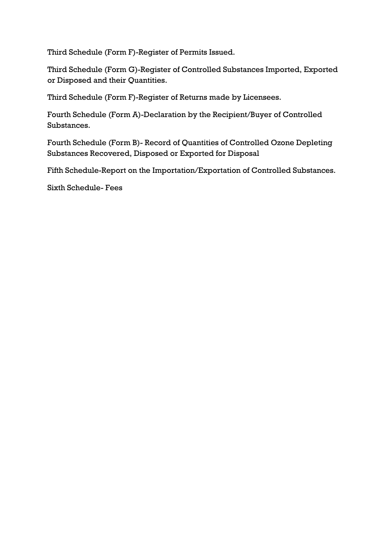Third Schedule (Form F)-Register of Permits Issued.

Third Schedule (Form G)-Register of Controlled Substances Imported, Exported or Disposed and their Quantities.

Third Schedule (Form F)-Register of Returns made by Licensees.

Fourth Schedule (Form A)-Declaration by the Recipient/Buyer of Controlled Substances.

Fourth Schedule (Form B)- Record of Quantities of Controlled Ozone Depleting Substances Recovered, Disposed or Exported for Disposal

Fifth Schedule-Report on the Importation/Exportation of Controlled Substances.

Sixth Schedule- Fees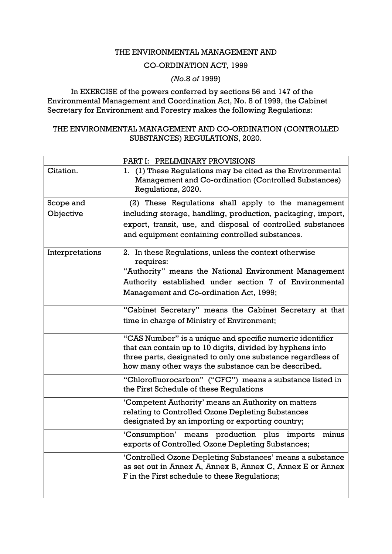### THE ENVIRONMENTAL MANAGEMENT AND

### CO-ORDINATION ACT, 1999

# *(No*.8 *of* 1999)

In EXERCISE of the powers conferred by sections 56 and 147 of the Environmental Management and Coordination Act, No. 8 of 1999, the Cabinet Secretary for Environment and Forestry makes the following Regulations:

## THE ENVIRONMENTAL MANAGEMENT AND CO-ORDINATION (CONTROLLED SUBSTANCES) REGULATIONS, 2020.

|                 | PART I: PRELIMINARY PROVISIONS                                                                                                                                          |
|-----------------|-------------------------------------------------------------------------------------------------------------------------------------------------------------------------|
| Citation.       | 1. (1) These Regulations may be cited as the Environmental<br>Management and Co-ordination (Controlled Substances)<br>Regulations, 2020.                                |
| Scope and       | (2) These Regulations shall apply to the management                                                                                                                     |
| Objective       | including storage, handling, production, packaging, import,                                                                                                             |
|                 | export, transit, use, and disposal of controlled substances                                                                                                             |
|                 | and equipment containing controlled substances.                                                                                                                         |
| Interpretations | 2. In these Regulations, unless the context otherwise<br>requires:                                                                                                      |
|                 | "Authority" means the National Environment Management                                                                                                                   |
|                 | Authority established under section 7 of Environmental                                                                                                                  |
|                 | Management and Co-ordination Act, 1999;                                                                                                                                 |
|                 | "Cabinet Secretary" means the Cabinet Secretary at that                                                                                                                 |
|                 | time in charge of Ministry of Environment;                                                                                                                              |
|                 | "CAS Number" is a unique and specific numeric identifier                                                                                                                |
|                 | that can contain up to 10 digits, divided by hyphens into                                                                                                               |
|                 | three parts, designated to only one substance regardless of<br>how many other ways the substance can be described.                                                      |
|                 | "Chlorofluorocarbon" ("CFC") means a substance listed in<br>the First Schedule of these Regulations                                                                     |
|                 | 'Competent Authority' means an Authority on matters                                                                                                                     |
|                 | relating to Controlled Ozone Depleting Substances<br>designated by an importing or exporting country;                                                                   |
|                 | 'Consumption'<br>means production plus<br>imports<br>minus<br>exports of Controlled Ozone Depleting Substances;                                                         |
|                 | 'Controlled Ozone Depleting Substances' means a substance<br>as set out in Annex A, Annex B, Annex C, Annex E or Annex<br>F in the First schedule to these Regulations; |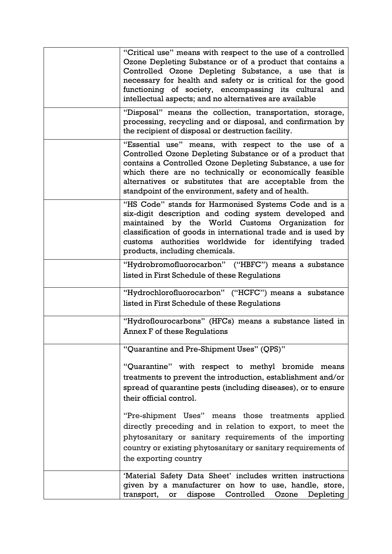| "Critical use" means with respect to the use of a controlled<br>Ozone Depleting Substance or of a product that contains a<br>Controlled Ozone Depleting Substance, a use that is<br>necessary for health and safety or is critical for the good<br>functioning of society, encompassing its cultural and<br>intellectual aspects; and no alternatives are available |
|---------------------------------------------------------------------------------------------------------------------------------------------------------------------------------------------------------------------------------------------------------------------------------------------------------------------------------------------------------------------|
| "Disposal" means the collection, transportation, storage,<br>processing, recycling and or disposal, and confirmation by<br>the recipient of disposal or destruction facility.                                                                                                                                                                                       |
| "Essential use" means, with respect to the use of a<br>Controlled Ozone Depleting Substance or of a product that<br>contains a Controlled Ozone Depleting Substance, a use for<br>which there are no technically or economically feasible<br>alternatives or substitutes that are acceptable from the<br>standpoint of the environment, safety and of health.       |
| "HS Code" stands for Harmonised Systems Code and is a<br>six-digit description and coding system developed and<br>maintained by the World Customs Organization for<br>classification of goods in international trade and is used by<br>authorities worldwide for identifying traded<br>customs<br>products, including chemicals.                                    |
| "Hydrobromofluorocarbon" ("HBFC") means a substance<br>listed in First Schedule of these Regulations                                                                                                                                                                                                                                                                |
| "Hydrochlorofluorocarbon" ("HCFC") means a substance<br>listed in First Schedule of these Regulations                                                                                                                                                                                                                                                               |
| "Hydroflourocarbons" (HFCs) means a substance listed in<br>Annex F of these Regulations                                                                                                                                                                                                                                                                             |
| "Quarantine and Pre-Shipment Uses" (QPS)"                                                                                                                                                                                                                                                                                                                           |
| "Quarantine" with respect to methyl bromide means<br>treatments to prevent the introduction, establishment and/or<br>spread of quarantine pests (including diseases), or to ensure<br>their official control.                                                                                                                                                       |
| "Pre-shipment Uses" means those treatments applied<br>directly preceding and in relation to export, to meet the<br>phytosanitary or sanitary requirements of the importing<br>country or existing phytosanitary or sanitary requirements of<br>the exporting country                                                                                                |
| 'Material Safety Data Sheet' includes written instructions<br>given by a manufacturer on how to use, handle, store,<br>dispose Controlled<br>transport, or<br>Ozone Depleting                                                                                                                                                                                       |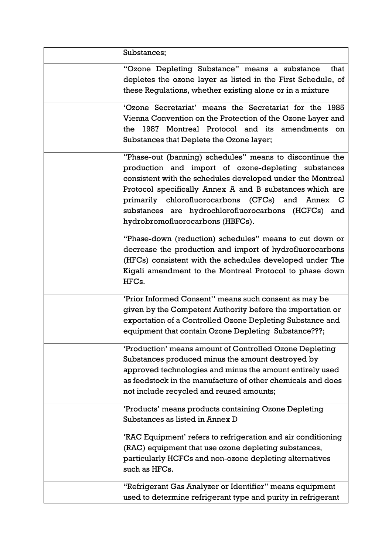| Substances;                                                                                                                                                                                                                                                                                                                                                                              |
|------------------------------------------------------------------------------------------------------------------------------------------------------------------------------------------------------------------------------------------------------------------------------------------------------------------------------------------------------------------------------------------|
| "Ozone Depleting Substance" means a substance<br>that<br>depletes the ozone layer as listed in the First Schedule, of<br>these Regulations, whether existing alone or in a mixture                                                                                                                                                                                                       |
| 'Ozone Secretariat' means the Secretariat for the 1985<br>Vienna Convention on the Protection of the Ozone Layer and<br>the 1987 Montreal Protocol and its amendments on<br>Substances that Deplete the Ozone layer;                                                                                                                                                                     |
| "Phase-out (banning) schedules" means to discontinue the<br>production and import of ozone-depleting substances<br>consistent with the schedules developed under the Montreal<br>Protocol specifically Annex A and B substances which are<br>primarily chlorofluorocarbons (CFCs) and Annex C<br>substances are hydrochlorofluorocarbons (HCFCs) and<br>hydrobromofluorocarbons (HBFCs). |
| "Phase-down (reduction) schedules" means to cut down or<br>decrease the production and import of hydrofluorocarbons<br>(HFCs) consistent with the schedules developed under The<br>Kigali amendment to the Montreal Protocol to phase down<br>HFC <sub>s</sub> .                                                                                                                         |
| 'Prior Informed Consent'' means such consent as may be<br>given by the Competent Authority before the importation or<br>exportation of a Controlled Ozone Depleting Substance and<br>equipment that contain Ozone Depleting Substance???;                                                                                                                                                |
| 'Production' means amount of Controlled Ozone Depleting<br>Substances produced minus the amount destroyed by<br>approved technologies and minus the amount entirely used<br>as feedstock in the manufacture of other chemicals and does<br>not include recycled and reused amounts;                                                                                                      |
| 'Products' means products containing Ozone Depleting<br>Substances as listed in Annex D                                                                                                                                                                                                                                                                                                  |
| 'RAC Equipment' refers to refrigeration and air conditioning<br>(RAC) equipment that use ozone depleting substances,<br>particularly HCFCs and non-ozone depleting alternatives<br>such as HFCs.                                                                                                                                                                                         |
| "Refrigerant Gas Analyzer or Identifier" means equipment<br>used to determine refrigerant type and purity in refrigerant                                                                                                                                                                                                                                                                 |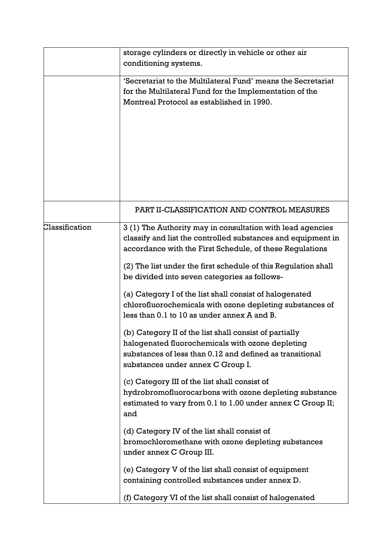|                | storage cylinders or directly in vehicle or other air<br>conditioning systems.                                                                                                                                                                                                                           |
|----------------|----------------------------------------------------------------------------------------------------------------------------------------------------------------------------------------------------------------------------------------------------------------------------------------------------------|
|                | 'Secretariat to the Multilateral Fund' means the Secretariat<br>for the Multilateral Fund for the Implementation of the<br>Montreal Protocol as established in 1990.                                                                                                                                     |
|                | PART II-CLASSIFICATION AND CONTROL MEASURES                                                                                                                                                                                                                                                              |
| Classification | 3 (1) The Authority may in consultation with lead agencies<br>classify and list the controlled substances and equipment in<br>accordance with the First Schedule, of these Regulations<br>(2) The list under the first schedule of this Regulation shall<br>be divided into seven categories as follows- |
|                | (a) Category I of the list shall consist of halogenated<br>chlorofluorochemicals with ozone depleting substances of<br>less than 0.1 to 10 as under annex A and B.                                                                                                                                       |
|                | (b) Category II of the list shall consist of partially<br>halogenated fluorochemicals with ozone depleting<br>substances of less than 0.12 and defined as transitional<br>substances under annex C Group I.                                                                                              |
|                | (c) Category III of the list shall consist of<br>hydrobromofluorocarbons with ozone depleting substance<br>estimated to vary from 0.1 to 1.00 under annex C Group II;<br>and                                                                                                                             |
|                | (d) Category IV of the list shall consist of<br>bromochloromethane with ozone depleting substances<br>under annex C Group III.                                                                                                                                                                           |
|                | (e) Category V of the list shall consist of equipment<br>containing controlled substances under annex D.                                                                                                                                                                                                 |
|                | (f) Category VI of the list shall consist of halogenated                                                                                                                                                                                                                                                 |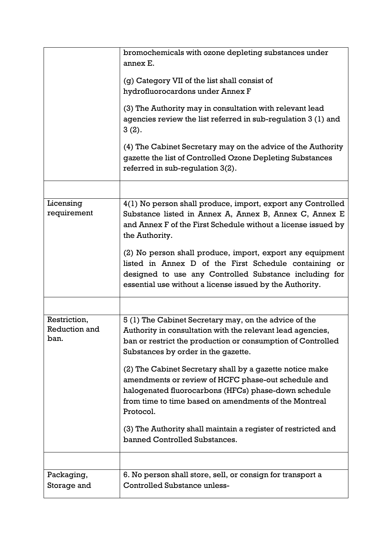|                                       | bromochemicals with ozone depleting substances under<br>annex E.                                                                                                                                                                              |
|---------------------------------------|-----------------------------------------------------------------------------------------------------------------------------------------------------------------------------------------------------------------------------------------------|
|                                       | (g) Category VII of the list shall consist of<br>hydrofluorocardons under Annex F                                                                                                                                                             |
|                                       | (3) The Authority may in consultation with relevant lead<br>agencies review the list referred in sub-regulation 3 (1) and<br>3(2).                                                                                                            |
|                                       | (4) The Cabinet Secretary may on the advice of the Authority<br>gazette the list of Controlled Ozone Depleting Substances<br>referred in sub-regulation 3(2).                                                                                 |
|                                       |                                                                                                                                                                                                                                               |
| Licensing<br>requirement              | 4(1) No person shall produce, import, export any Controlled<br>Substance listed in Annex A, Annex B, Annex C, Annex E<br>and Annex F of the First Schedule without a license issued by<br>the Authority.                                      |
|                                       | (2) No person shall produce, import, export any equipment<br>listed in Annex D of the First Schedule containing or<br>designed to use any Controlled Substance including for<br>essential use without a license issued by the Authority.      |
|                                       |                                                                                                                                                                                                                                               |
| Restriction,<br>Reduction and<br>ban. | 5 (1) The Cabinet Secretary may, on the advice of the<br>Authority in consultation with the relevant lead agencies,<br>ban or restrict the production or consumption of Controlled<br>Substances by order in the gazette.                     |
|                                       | (2) The Cabinet Secretary shall by a gazette notice make<br>amendments or review of HCFC phase-out schedule and<br>halogenated fluorocarbons (HFCs) phase-down schedule<br>from time to time based on amendments of the Montreal<br>Protocol. |
|                                       | (3) The Authority shall maintain a register of restricted and<br>banned Controlled Substances.                                                                                                                                                |
|                                       |                                                                                                                                                                                                                                               |
| Packaging,<br>Storage and             | 6. No person shall store, sell, or consign for transport a<br><b>Controlled Substance unless-</b>                                                                                                                                             |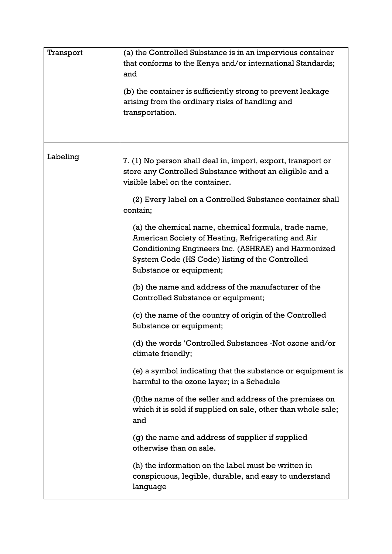| Transport | (a) the Controlled Substance is in an impervious container<br>that conforms to the Kenya and/or international Standards;<br>and<br>(b) the container is sufficiently strong to prevent leakage<br>arising from the ordinary risks of handling and<br>transportation. |
|-----------|----------------------------------------------------------------------------------------------------------------------------------------------------------------------------------------------------------------------------------------------------------------------|
|           |                                                                                                                                                                                                                                                                      |
| Labeling  | 7. (1) No person shall deal in, import, export, transport or<br>store any Controlled Substance without an eligible and a<br>visible label on the container.<br>(2) Every label on a Controlled Substance container shall<br>contain:                                 |
|           | (a) the chemical name, chemical formula, trade name,<br>American Society of Heating, Refrigerating and Air<br>Conditioning Engineers Inc. (ASHRAE) and Harmonized<br>System Code (HS Code) listing of the Controlled<br>Substance or equipment;                      |
|           | (b) the name and address of the manufacturer of the<br>Controlled Substance or equipment;                                                                                                                                                                            |
|           | (c) the name of the country of origin of the Controlled<br>Substance or equipment;                                                                                                                                                                                   |
|           | (d) the words 'Controlled Substances -Not ozone and/or<br>climate friendly;                                                                                                                                                                                          |
|           | (e) a symbol indicating that the substance or equipment is<br>harmful to the ozone layer; in a Schedule                                                                                                                                                              |
|           | (f) the name of the seller and address of the premises on<br>which it is sold if supplied on sale, other than whole sale;<br>and                                                                                                                                     |
|           | (g) the name and address of supplier if supplied<br>otherwise than on sale.                                                                                                                                                                                          |
|           | (h) the information on the label must be written in<br>conspicuous, legible, durable, and easy to understand<br>language                                                                                                                                             |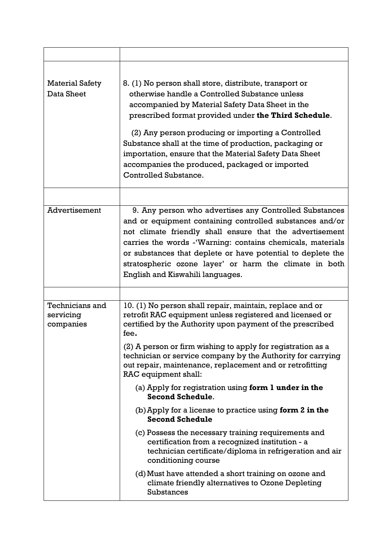| <b>Material Safety</b><br>Data Sheet      | 8. (1) No person shall store, distribute, transport or<br>otherwise handle a Controlled Substance unless<br>accompanied by Material Safety Data Sheet in the<br>prescribed format provided under the Third Schedule.<br>(2) Any person producing or importing a Controlled<br>Substance shall at the time of production, packaging or<br>importation, ensure that the Material Safety Data Sheet<br>accompanies the produced, packaged or imported<br>Controlled Substance.                                                                                 |
|-------------------------------------------|-------------------------------------------------------------------------------------------------------------------------------------------------------------------------------------------------------------------------------------------------------------------------------------------------------------------------------------------------------------------------------------------------------------------------------------------------------------------------------------------------------------------------------------------------------------|
| <b>Advertisement</b>                      | 9. Any person who advertises any Controlled Substances<br>and or equipment containing controlled substances and/or<br>not climate friendly shall ensure that the advertisement<br>carries the words - Warning: contains chemicals, materials<br>or substances that deplete or have potential to deplete the<br>stratospheric ozone layer' or harm the climate in both<br>English and Kiswahili languages.                                                                                                                                                   |
| Technicians and<br>servicing<br>companies | 10. (1) No person shall repair, maintain, replace and or<br>retrofit RAC equipment unless registered and licensed or<br>certified by the Authority upon payment of the prescribed<br>fee.<br>(2) A person or firm wishing to apply for registration as a<br>technician or service company by the Authority for carrying<br>out repair, maintenance, replacement and or retrofitting<br>RAC equipment shall:<br>(a) Apply for registration using form 1 under in the<br><b>Second Schedule.</b><br>$(b)$ Apply for a license to practice using form 2 in the |
|                                           | <b>Second Schedule</b><br>(c) Possess the necessary training requirements and<br>certification from a recognized institution - a<br>technician certificate/diploma in refrigeration and air<br>conditioning course<br>(d) Must have attended a short training on ozone and<br>climate friendly alternatives to Ozone Depleting<br>Substances                                                                                                                                                                                                                |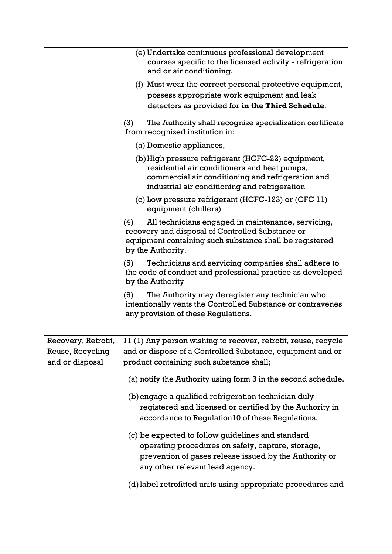|                                                            | (e) Undertake continuous professional development<br>courses specific to the licensed activity - refrigeration<br>and or air conditioning.                                                               |
|------------------------------------------------------------|----------------------------------------------------------------------------------------------------------------------------------------------------------------------------------------------------------|
|                                                            | (f) Must wear the correct personal protective equipment,<br>possess appropriate work equipment and leak<br>detectors as provided for in the Third Schedule.                                              |
|                                                            | The Authority shall recognize specialization certificate<br>(3)<br>from recognized institution in:                                                                                                       |
|                                                            | (a) Domestic appliances,                                                                                                                                                                                 |
|                                                            | (b) High pressure refrigerant (HCFC-22) equipment,<br>residential air conditioners and heat pumps,<br>commercial air conditioning and refrigeration and<br>industrial air conditioning and refrigeration |
|                                                            | (c) Low pressure refrigerant (HCFC-123) or (CFC 11)<br>equipment (chillers)                                                                                                                              |
|                                                            | All technicians engaged in maintenance, servicing,<br>(4)<br>recovery and disposal of Controlled Substance or<br>equipment containing such substance shall be registered<br>by the Authority.            |
|                                                            | Technicians and servicing companies shall adhere to<br>(5)<br>the code of conduct and professional practice as developed<br>by the Authority                                                             |
|                                                            | (6)<br>The Authority may deregister any technician who<br>intentionally vents the Controlled Substance or contravenes<br>any provision of these Regulations.                                             |
|                                                            |                                                                                                                                                                                                          |
| Recovery, Retrofit,<br>Reuse, Recycling<br>and or disposal | 11 (1) Any person wishing to recover, retrofit, reuse, recycle<br>and or dispose of a Controlled Substance, equipment and or<br>product containing such substance shall;                                 |
|                                                            | (a) notify the Authority using form 3 in the second schedule.                                                                                                                                            |
|                                                            | (b) engage a qualified refrigeration technician duly<br>registered and licensed or certified by the Authority in<br>accordance to Regulation10 of these Regulations.                                     |
|                                                            | (c) be expected to follow guidelines and standard<br>operating procedures on safety, capture, storage,<br>prevention of gases release issued by the Authority or<br>any other relevant lead agency.      |
|                                                            | (d) label retrofitted units using appropriate procedures and                                                                                                                                             |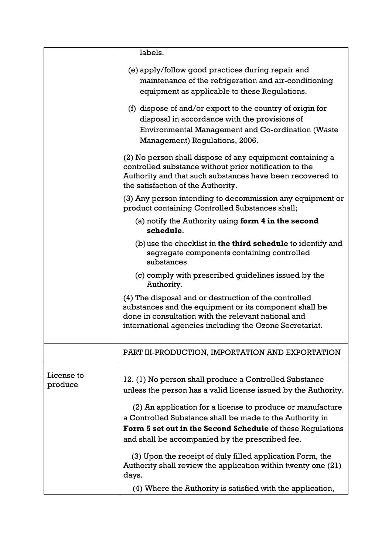|                       | labels.                                                                                                                                                                                                                                                                                                                        |
|-----------------------|--------------------------------------------------------------------------------------------------------------------------------------------------------------------------------------------------------------------------------------------------------------------------------------------------------------------------------|
|                       | (e) apply/follow good practices during repair and<br>maintenance of the refrigeration and air-conditioning<br>equipment as applicable to these Regulations.<br>(f) dispose of and/or export to the country of origin for<br>disposal in accordance with the provisions of<br>Environmental Management and Co-ordination (Waste |
|                       | Management) Regulations, 2006.                                                                                                                                                                                                                                                                                                 |
|                       | (2) No person shall dispose of any equipment containing a<br>controlled substance without prior notification to the<br>Authority and that such substances have been recovered to<br>the satisfaction of the Authority.                                                                                                         |
|                       | (3) Any person intending to decommission any equipment or<br>product containing Controlled Substances shall;                                                                                                                                                                                                                   |
|                       | (a) notify the Authority using form $4$ in the second<br>schedule.                                                                                                                                                                                                                                                             |
|                       | $(b)$ use the checklist in the third schedule to identify and<br>segregate components containing controlled<br>substances                                                                                                                                                                                                      |
|                       | (c) comply with prescribed guidelines issued by the<br>Authority.                                                                                                                                                                                                                                                              |
|                       | (4) The disposal and or destruction of the controlled<br>substances and the equipment or its component shall be<br>done in consultation with the relevant national and<br>international agencies including the Ozone Secretariat.                                                                                              |
|                       | PART III-PRODUCTION, IMPORTATION AND EXPORTATION                                                                                                                                                                                                                                                                               |
| License to<br>produce | 12. (1) No person shall produce a Controlled Substance<br>unless the person has a valid license issued by the Authority.<br>(2) An application for a license to produce or manufacture                                                                                                                                         |
|                       | a Controlled Substance shall be made to the Authority in                                                                                                                                                                                                                                                                       |
|                       | <b>Form 5 set out in the Second Schedule of these Regulations</b>                                                                                                                                                                                                                                                              |
|                       | and shall be accompanied by the prescribed fee.                                                                                                                                                                                                                                                                                |
|                       | (3) Upon the receipt of duly filled application Form, the<br>Authority shall review the application within twenty one (21)<br>days.                                                                                                                                                                                            |
|                       | (4) Where the Authority is satisfied with the application,                                                                                                                                                                                                                                                                     |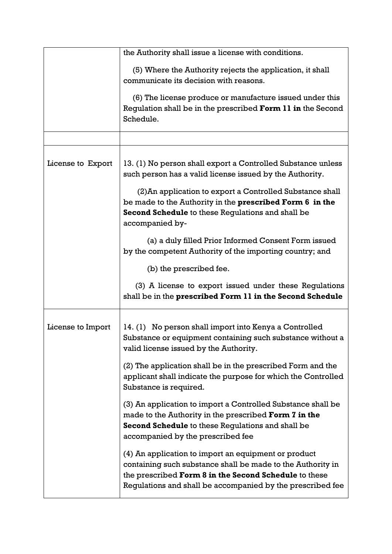|                   | the Authority shall issue a license with conditions.<br>(5) Where the Authority rejects the application, it shall<br>communicate its decision with reasons.<br>(6) The license produce or manufacture issued under this<br>Regulation shall be in the prescribed Form 11 in the Second<br>Schedule.                                                                                                                                                                                                                                                                                                                                                                                                                                                                                       |
|-------------------|-------------------------------------------------------------------------------------------------------------------------------------------------------------------------------------------------------------------------------------------------------------------------------------------------------------------------------------------------------------------------------------------------------------------------------------------------------------------------------------------------------------------------------------------------------------------------------------------------------------------------------------------------------------------------------------------------------------------------------------------------------------------------------------------|
| License to Export | 13. (1) No person shall export a Controlled Substance unless<br>such person has a valid license issued by the Authority.<br>(2) An application to export a Controlled Substance shall<br>be made to the Authority in the prescribed Form 6 in the<br>Second Schedule to these Regulations and shall be<br>accompanied by-<br>(a) a duly filled Prior Informed Consent Form issued<br>by the competent Authority of the importing country; and<br>(b) the prescribed fee.<br>(3) A license to export issued under these Regulations<br>shall be in the prescribed Form 11 in the Second Schedule                                                                                                                                                                                           |
| License to Import | 14. (1) No person shall import into Kenya a Controlled<br>Substance or equipment containing such substance without a<br>valid license issued by the Authority.<br>(2) The application shall be in the prescribed Form and the<br>applicant shall indicate the purpose for which the Controlled<br>Substance is required.<br>(3) An application to import a Controlled Substance shall be<br>made to the Authority in the prescribed Form 7 in the<br>Second Schedule to these Regulations and shall be<br>accompanied by the prescribed fee<br>(4) An application to import an equipment or product<br>containing such substance shall be made to the Authority in<br>the prescribed Form 8 in the Second Schedule to these<br>Regulations and shall be accompanied by the prescribed fee |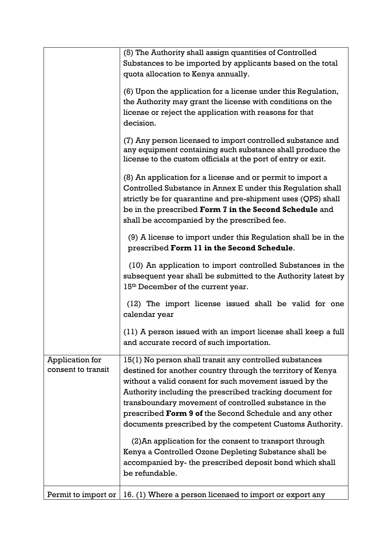|                                       | (5) The Authority shall assign quantities of Controlled                                                                                                                                                                                                                                                                                                                                                                      |
|---------------------------------------|------------------------------------------------------------------------------------------------------------------------------------------------------------------------------------------------------------------------------------------------------------------------------------------------------------------------------------------------------------------------------------------------------------------------------|
|                                       | Substances to be imported by applicants based on the total                                                                                                                                                                                                                                                                                                                                                                   |
|                                       | quota allocation to Kenya annually.                                                                                                                                                                                                                                                                                                                                                                                          |
|                                       | (6) Upon the application for a license under this Regulation,                                                                                                                                                                                                                                                                                                                                                                |
|                                       | the Authority may grant the license with conditions on the                                                                                                                                                                                                                                                                                                                                                                   |
|                                       | license or reject the application with reasons for that<br>decision.                                                                                                                                                                                                                                                                                                                                                         |
|                                       | (7) Any person licensed to import controlled substance and<br>any equipment containing such substance shall produce the<br>license to the custom officials at the port of entry or exit.                                                                                                                                                                                                                                     |
|                                       | (8) An application for a license and or permit to import a<br>Controlled Substance in Annex E under this Regulation shall<br>strictly be for quarantine and pre-shipment uses (QPS) shall<br>be in the prescribed Form 7 in the Second Schedule and                                                                                                                                                                          |
|                                       | shall be accompanied by the prescribed fee.                                                                                                                                                                                                                                                                                                                                                                                  |
|                                       | (9) A license to import under this Regulation shall be in the<br>prescribed Form 11 in the Second Schedule.                                                                                                                                                                                                                                                                                                                  |
|                                       | (10) An application to import controlled Substances in the<br>subsequent year shall be submitted to the Authority latest by<br>15 <sup>th</sup> December of the current year.                                                                                                                                                                                                                                                |
|                                       | (12) The import license issued shall be valid for one<br>calendar year                                                                                                                                                                                                                                                                                                                                                       |
|                                       | (11) A person issued with an import license shall keep a full<br>and accurate record of such importation.                                                                                                                                                                                                                                                                                                                    |
| Application for<br>consent to transit | 15(1) No person shall transit any controlled substances<br>destined for another country through the territory of Kenya<br>without a valid consent for such movement issued by the<br>Authority including the prescribed tracking document for<br>transboundary movement of controlled substance in the<br>prescribed Form 9 of the Second Schedule and any other<br>documents prescribed by the competent Customs Authority. |
|                                       | (2) An application for the consent to transport through<br>Kenya a Controlled Ozone Depleting Substance shall be<br>accompanied by- the prescribed deposit bond which shall<br>be refundable.                                                                                                                                                                                                                                |
| Permit to import or                   | 16. (1) Where a person licensed to import or export any                                                                                                                                                                                                                                                                                                                                                                      |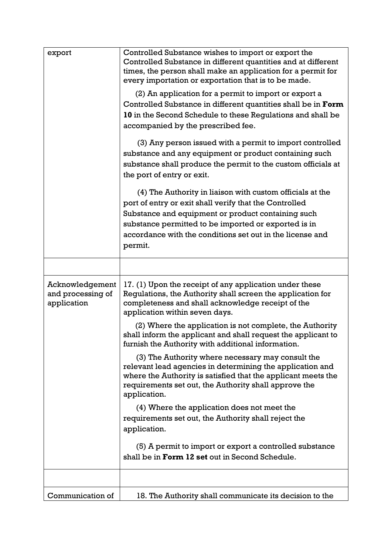| export                                              | Controlled Substance wishes to import or export the<br>Controlled Substance in different quantities and at different<br>times, the person shall make an application for a permit for<br>every importation or exportation that is to be made.                                                              |
|-----------------------------------------------------|-----------------------------------------------------------------------------------------------------------------------------------------------------------------------------------------------------------------------------------------------------------------------------------------------------------|
|                                                     | (2) An application for a permit to import or export a<br>Controlled Substance in different quantities shall be in Form<br>10 in the Second Schedule to these Regulations and shall be<br>accompanied by the prescribed fee.                                                                               |
|                                                     | (3) Any person issued with a permit to import controlled<br>substance and any equipment or product containing such<br>substance shall produce the permit to the custom officials at<br>the port of entry or exit.                                                                                         |
|                                                     | (4) The Authority in liaison with custom officials at the<br>port of entry or exit shall verify that the Controlled<br>Substance and equipment or product containing such<br>substance permitted to be imported or exported is in<br>accordance with the conditions set out in the license and<br>permit. |
|                                                     |                                                                                                                                                                                                                                                                                                           |
| Acknowledgement<br>and processing of<br>application | 17. (1) Upon the receipt of any application under these<br>Regulations, the Authority shall screen the application for<br>completeness and shall acknowledge receipt of the<br>application within seven days.                                                                                             |
|                                                     | (2) Where the application is not complete, the Authority<br>shall inform the applicant and shall request the applicant to<br>furnish the Authority with additional information.                                                                                                                           |
|                                                     | (3) The Authority where necessary may consult the<br>relevant lead agencies in determining the application and<br>where the Authority is satisfied that the applicant meets the<br>requirements set out, the Authority shall approve the<br>application.                                                  |
|                                                     | (4) Where the application does not meet the                                                                                                                                                                                                                                                               |
|                                                     | requirements set out, the Authority shall reject the<br>application.                                                                                                                                                                                                                                      |
|                                                     | (5) A permit to import or export a controlled substance<br>shall be in Form 12 set out in Second Schedule.                                                                                                                                                                                                |
|                                                     |                                                                                                                                                                                                                                                                                                           |
| Communication of                                    | 18. The Authority shall communicate its decision to the                                                                                                                                                                                                                                                   |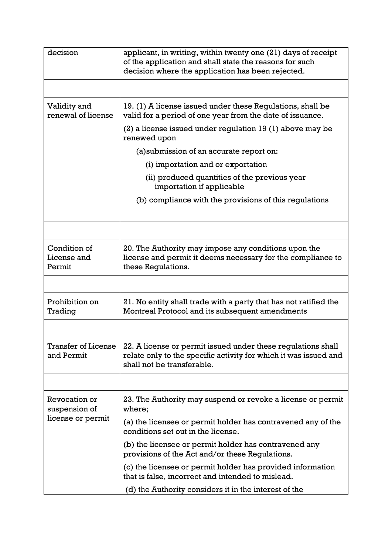| decision                                 | applicant, in writing, within twenty one (21) days of receipt<br>of the application and shall state the reasons for such<br>decision where the application has been rejected. |  |  |  |
|------------------------------------------|-------------------------------------------------------------------------------------------------------------------------------------------------------------------------------|--|--|--|
|                                          |                                                                                                                                                                               |  |  |  |
| Validity and<br>renewal of license       | 19. (1) A license issued under these Regulations, shall be<br>valid for a period of one year from the date of issuance.                                                       |  |  |  |
|                                          | $(2)$ a license issued under regulation 19 $(1)$ above may be<br>renewed upon                                                                                                 |  |  |  |
|                                          | (a) submission of an accurate report on:                                                                                                                                      |  |  |  |
|                                          | (i) importation and or exportation                                                                                                                                            |  |  |  |
|                                          | (ii) produced quantities of the previous year<br>importation if applicable                                                                                                    |  |  |  |
|                                          | (b) compliance with the provisions of this regulations                                                                                                                        |  |  |  |
|                                          |                                                                                                                                                                               |  |  |  |
| Condition of<br>License and<br>Permit    | 20. The Authority may impose any conditions upon the<br>license and permit it deems necessary for the compliance to<br>these Regulations.                                     |  |  |  |
|                                          |                                                                                                                                                                               |  |  |  |
| Prohibition on<br>Trading                | 21. No entity shall trade with a party that has not ratified the<br>Montreal Protocol and its subsequent amendments                                                           |  |  |  |
|                                          |                                                                                                                                                                               |  |  |  |
| <b>Transfer of License</b><br>and Permit | 22. A license or permit issued under these regulations shall<br>relate only to the specific activity for which it was issued and<br>shall not be transferable.                |  |  |  |
|                                          |                                                                                                                                                                               |  |  |  |
| Revocation or<br>suspension of           | 23. The Authority may suspend or revoke a license or permit<br>where;                                                                                                         |  |  |  |
| license or permit                        | (a) the licensee or permit holder has contravened any of the<br>conditions set out in the license.                                                                            |  |  |  |
|                                          | (b) the licensee or permit holder has contravened any<br>provisions of the Act and/or these Regulations.                                                                      |  |  |  |
|                                          | (c) the licensee or permit holder has provided information<br>that is false, incorrect and intended to mislead.                                                               |  |  |  |
|                                          | (d) the Authority considers it in the interest of the                                                                                                                         |  |  |  |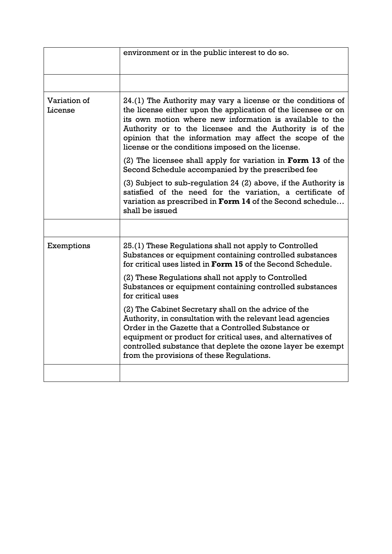|                         | environment or in the public interest to do so.                                                                                                                                                                                                                                                                                                                        |  |  |  |  |
|-------------------------|------------------------------------------------------------------------------------------------------------------------------------------------------------------------------------------------------------------------------------------------------------------------------------------------------------------------------------------------------------------------|--|--|--|--|
|                         |                                                                                                                                                                                                                                                                                                                                                                        |  |  |  |  |
| Variation of<br>License | 24.(1) The Authority may vary a license or the conditions of<br>the license either upon the application of the licensee or on<br>its own motion where new information is available to the<br>Authority or to the licensee and the Authority is of the<br>opinion that the information may affect the scope of the<br>license or the conditions imposed on the license. |  |  |  |  |
|                         | (2) The licensee shall apply for variation in <b>Form 13</b> of the<br>Second Schedule accompanied by the prescribed fee                                                                                                                                                                                                                                               |  |  |  |  |
|                         | (3) Subject to sub-regulation 24 (2) above, if the Authority is<br>satisfied of the need for the variation, a certificate of<br>variation as prescribed in Form 14 of the Second schedule<br>shall be issued                                                                                                                                                           |  |  |  |  |
|                         |                                                                                                                                                                                                                                                                                                                                                                        |  |  |  |  |
| Exemptions              | 25.(1) These Regulations shall not apply to Controlled<br>Substances or equipment containing controlled substances<br>for critical uses listed in <b>Form 15</b> of the Second Schedule.                                                                                                                                                                               |  |  |  |  |
|                         | (2) These Regulations shall not apply to Controlled<br>Substances or equipment containing controlled substances<br>for critical uses                                                                                                                                                                                                                                   |  |  |  |  |
|                         | (2) The Cabinet Secretary shall on the advice of the<br>Authority, in consultation with the relevant lead agencies<br>Order in the Gazette that a Controlled Substance or<br>equipment or product for critical uses, and alternatives of<br>controlled substance that deplete the ozone layer be exempt<br>from the provisions of these Regulations.                   |  |  |  |  |
|                         |                                                                                                                                                                                                                                                                                                                                                                        |  |  |  |  |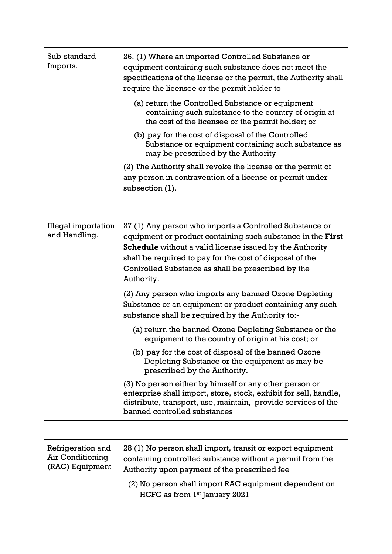| Sub-standard<br>Imports.                                 | 26. (1) Where an imported Controlled Substance or<br>equipment containing such substance does not meet the<br>specifications of the license or the permit, the Authority shall<br>require the licensee or the permit holder to-                                                                                           |  |  |  |  |
|----------------------------------------------------------|---------------------------------------------------------------------------------------------------------------------------------------------------------------------------------------------------------------------------------------------------------------------------------------------------------------------------|--|--|--|--|
|                                                          | (a) return the Controlled Substance or equipment<br>containing such substance to the country of origin at<br>the cost of the licensee or the permit holder; or                                                                                                                                                            |  |  |  |  |
|                                                          | (b) pay for the cost of disposal of the Controlled<br>Substance or equipment containing such substance as<br>may be prescribed by the Authority                                                                                                                                                                           |  |  |  |  |
|                                                          | (2) The Authority shall revoke the license or the permit of<br>any person in contravention of a license or permit under<br>subsection (1).                                                                                                                                                                                |  |  |  |  |
|                                                          |                                                                                                                                                                                                                                                                                                                           |  |  |  |  |
| <b>Illegal importation</b><br>and Handling.              | 27 (1) Any person who imports a Controlled Substance or<br>equipment or product containing such substance in the First<br><b>Schedule</b> without a valid license issued by the Authority<br>shall be required to pay for the cost of disposal of the<br>Controlled Substance as shall be prescribed by the<br>Authority. |  |  |  |  |
|                                                          | (2) Any person who imports any banned Ozone Depleting<br>Substance or an equipment or product containing any such<br>substance shall be required by the Authority to:-                                                                                                                                                    |  |  |  |  |
|                                                          | (a) return the banned Ozone Depleting Substance or the<br>equipment to the country of origin at his cost; or                                                                                                                                                                                                              |  |  |  |  |
|                                                          | (b) pay for the cost of disposal of the banned Ozone<br>Depleting Substance or the equipment as may be<br>prescribed by the Authority.                                                                                                                                                                                    |  |  |  |  |
|                                                          | (3) No person either by himself or any other person or<br>enterprise shall import, store, stock, exhibit for sell, handle,<br>distribute, transport, use, maintain, provide services of the<br>banned controlled substances                                                                                               |  |  |  |  |
|                                                          |                                                                                                                                                                                                                                                                                                                           |  |  |  |  |
| Refrigeration and<br>Air Conditioning<br>(RAC) Equipment | 28 (1) No person shall import, transit or export equipment<br>containing controlled substance without a permit from the<br>Authority upon payment of the prescribed fee                                                                                                                                                   |  |  |  |  |
|                                                          | (2) No person shall import RAC equipment dependent on<br>HCFC as from 1st January 2021                                                                                                                                                                                                                                    |  |  |  |  |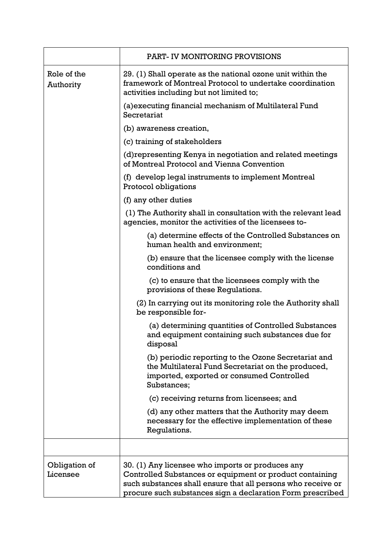|                           | PART- IV MONITORING PROVISIONS                                                                                                                                                                                                             |  |  |  |  |  |
|---------------------------|--------------------------------------------------------------------------------------------------------------------------------------------------------------------------------------------------------------------------------------------|--|--|--|--|--|
| Role of the<br>Authority  | 29. (1) Shall operate as the national ozone unit within the<br>framework of Montreal Protocol to undertake coordination<br>activities including but not limited to;                                                                        |  |  |  |  |  |
|                           | (a) executing financial mechanism of Multilateral Fund<br>Secretariat                                                                                                                                                                      |  |  |  |  |  |
|                           | (b) awareness creation,                                                                                                                                                                                                                    |  |  |  |  |  |
|                           | (c) training of stakeholders                                                                                                                                                                                                               |  |  |  |  |  |
|                           | (d) representing Kenya in negotiation and related meetings<br>of Montreal Protocol and Vienna Convention                                                                                                                                   |  |  |  |  |  |
|                           | (f) develop legal instruments to implement Montreal<br>Protocol obligations                                                                                                                                                                |  |  |  |  |  |
|                           | (f) any other duties                                                                                                                                                                                                                       |  |  |  |  |  |
|                           | (1) The Authority shall in consultation with the relevant lead<br>agencies, monitor the activities of the licensees to-                                                                                                                    |  |  |  |  |  |
|                           | (a) determine effects of the Controlled Substances on<br>human health and environment;                                                                                                                                                     |  |  |  |  |  |
|                           | (b) ensure that the licensee comply with the license<br>conditions and                                                                                                                                                                     |  |  |  |  |  |
|                           | (c) to ensure that the licensees comply with the<br>provisions of these Regulations.                                                                                                                                                       |  |  |  |  |  |
|                           | (2) In carrying out its monitoring role the Authority shall<br>be responsible for-                                                                                                                                                         |  |  |  |  |  |
|                           | (a) determining quantities of Controlled Substances<br>and equipment containing such substances due for<br>disposal                                                                                                                        |  |  |  |  |  |
|                           | (b) periodic reporting to the Ozone Secretariat and<br>the Multilateral Fund Secretariat on the produced,<br>imported, exported or consumed Controlled<br>Substances;                                                                      |  |  |  |  |  |
|                           | (c) receiving returns from licensees; and                                                                                                                                                                                                  |  |  |  |  |  |
|                           | (d) any other matters that the Authority may deem<br>necessary for the effective implementation of these<br>Regulations.                                                                                                                   |  |  |  |  |  |
|                           |                                                                                                                                                                                                                                            |  |  |  |  |  |
| Obligation of<br>Licensee | 30. (1) Any licensee who imports or produces any<br>Controlled Substances or equipment or product containing<br>such substances shall ensure that all persons who receive or<br>procure such substances sign a declaration Form prescribed |  |  |  |  |  |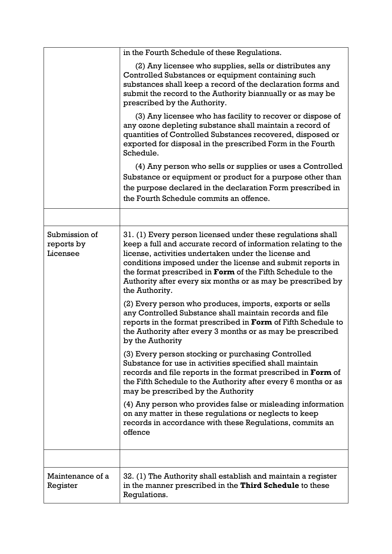|                                         | in the Fourth Schedule of these Regulations.                                                                                                                                                                                                                                                                                                                                                              |
|-----------------------------------------|-----------------------------------------------------------------------------------------------------------------------------------------------------------------------------------------------------------------------------------------------------------------------------------------------------------------------------------------------------------------------------------------------------------|
|                                         | (2) Any licensee who supplies, sells or distributes any<br>Controlled Substances or equipment containing such<br>substances shall keep a record of the declaration forms and<br>submit the record to the Authority biannually or as may be<br>prescribed by the Authority.                                                                                                                                |
|                                         | (3) Any licensee who has facility to recover or dispose of<br>any ozone depleting substance shall maintain a record of<br>quantities of Controlled Substances recovered, disposed or<br>exported for disposal in the prescribed Form in the Fourth<br>Schedule.                                                                                                                                           |
|                                         | (4) Any person who sells or supplies or uses a Controlled                                                                                                                                                                                                                                                                                                                                                 |
|                                         | Substance or equipment or product for a purpose other than                                                                                                                                                                                                                                                                                                                                                |
|                                         | the purpose declared in the declaration Form prescribed in                                                                                                                                                                                                                                                                                                                                                |
|                                         | the Fourth Schedule commits an offence.                                                                                                                                                                                                                                                                                                                                                                   |
|                                         |                                                                                                                                                                                                                                                                                                                                                                                                           |
| Submission of<br>reports by<br>Licensee | 31. (1) Every person licensed under these regulations shall<br>keep a full and accurate record of information relating to the<br>license, activities undertaken under the license and<br>conditions imposed under the license and submit reports in<br>the format prescribed in <b>Form</b> of the Fifth Schedule to the<br>Authority after every six months or as may be prescribed by<br>the Authority. |
|                                         | (2) Every person who produces, imports, exports or sells<br>any Controlled Substance shall maintain records and file<br>reports in the format prescribed in Form of Fifth Schedule to<br>the Authority after every 3 months or as may be prescribed<br>by the Authority                                                                                                                                   |
|                                         | (3) Every person stocking or purchasing Controlled<br>Substance for use in activities specified shall maintain<br>records and file reports in the format prescribed in Form of<br>the Fifth Schedule to the Authority after every 6 months or as<br>may be prescribed by the Authority                                                                                                                    |
|                                         | (4) Any person who provides false or misleading information<br>on any matter in these regulations or neglects to keep<br>records in accordance with these Regulations, commits an<br>offence                                                                                                                                                                                                              |
|                                         |                                                                                                                                                                                                                                                                                                                                                                                                           |
| Maintenance of a<br>Register            | 32. (1) The Authority shall establish and maintain a register<br>in the manner prescribed in the Third Schedule to these<br>Regulations.                                                                                                                                                                                                                                                                  |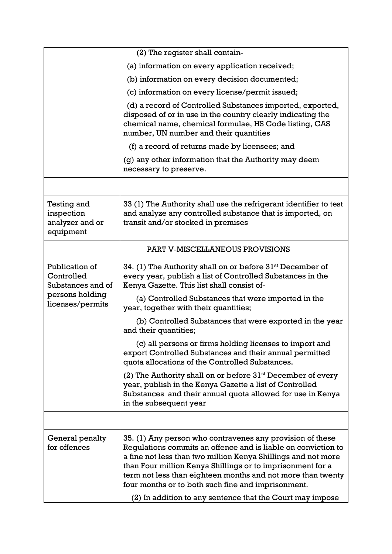|                                                           | (2) The register shall contain-                                                                                                                                                                                                                                                                                                                                                                                                             |  |  |  |  |  |
|-----------------------------------------------------------|---------------------------------------------------------------------------------------------------------------------------------------------------------------------------------------------------------------------------------------------------------------------------------------------------------------------------------------------------------------------------------------------------------------------------------------------|--|--|--|--|--|
|                                                           | (a) information on every application received;                                                                                                                                                                                                                                                                                                                                                                                              |  |  |  |  |  |
|                                                           | (b) information on every decision documented;                                                                                                                                                                                                                                                                                                                                                                                               |  |  |  |  |  |
|                                                           | (c) information on every license/permit issued;                                                                                                                                                                                                                                                                                                                                                                                             |  |  |  |  |  |
|                                                           | (d) a record of Controlled Substances imported, exported,<br>disposed of or in use in the country clearly indicating the<br>chemical name, chemical formulae, HS Code listing, CAS<br>number, UN number and their quantities                                                                                                                                                                                                                |  |  |  |  |  |
|                                                           | (f) a record of returns made by licensees; and                                                                                                                                                                                                                                                                                                                                                                                              |  |  |  |  |  |
|                                                           | (g) any other information that the Authority may deem<br>necessary to preserve.                                                                                                                                                                                                                                                                                                                                                             |  |  |  |  |  |
|                                                           |                                                                                                                                                                                                                                                                                                                                                                                                                                             |  |  |  |  |  |
| Testing and<br>inspection<br>analyzer and or<br>equipment | 33 (1) The Authority shall use the refrigerant identifier to test<br>and analyze any controlled substance that is imported, on<br>transit and/or stocked in premises                                                                                                                                                                                                                                                                        |  |  |  |  |  |
|                                                           | PART V-MISCELLANEOUS PROVISIONS                                                                                                                                                                                                                                                                                                                                                                                                             |  |  |  |  |  |
| Publication of<br>Controlled<br>Substances and of         | 34. (1) The Authority shall on or before 31 <sup>st</sup> December of<br>every year, publish a list of Controlled Substances in the<br>Kenya Gazette. This list shall consist of-                                                                                                                                                                                                                                                           |  |  |  |  |  |
| persons holding<br>licenses/permits                       | (a) Controlled Substances that were imported in the<br>year, together with their quantities;                                                                                                                                                                                                                                                                                                                                                |  |  |  |  |  |
|                                                           | (b) Controlled Substances that were exported in the year<br>and their quantities;                                                                                                                                                                                                                                                                                                                                                           |  |  |  |  |  |
|                                                           | (c) all persons or firms holding licenses to import and<br>export Controlled Substances and their annual permitted<br>quota allocations of the Controlled Substances.                                                                                                                                                                                                                                                                       |  |  |  |  |  |
|                                                           | (2) The Authority shall on or before $31st$ December of every<br>year, publish in the Kenya Gazette a list of Controlled<br>Substances and their annual quota allowed for use in Kenya<br>in the subsequent year                                                                                                                                                                                                                            |  |  |  |  |  |
|                                                           |                                                                                                                                                                                                                                                                                                                                                                                                                                             |  |  |  |  |  |
| General penalty<br>for offences                           | 35. (1) Any person who contravenes any provision of these<br>Regulations commits an offence and is liable on conviction to<br>a fine not less than two million Kenya Shillings and not more<br>than Four million Kenya Shillings or to imprisonment for a<br>term not less than eighteen months and not more than twenty<br>four months or to both such fine and imprisonment.<br>(2) In addition to any sentence that the Court may impose |  |  |  |  |  |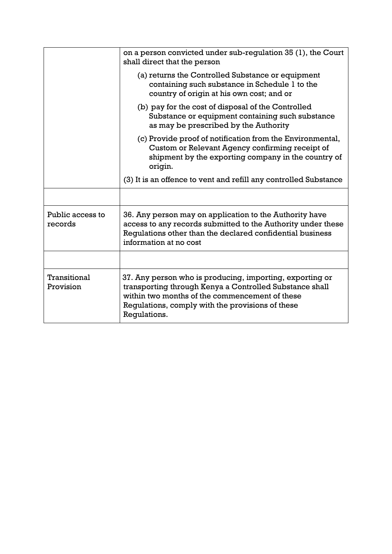|                             | on a person convicted under sub-regulation 35 (1), the Court<br>shall direct that the person                                                                                                                                              |
|-----------------------------|-------------------------------------------------------------------------------------------------------------------------------------------------------------------------------------------------------------------------------------------|
|                             | (a) returns the Controlled Substance or equipment<br>containing such substance in Schedule 1 to the<br>country of origin at his own cost; and or                                                                                          |
|                             | (b) pay for the cost of disposal of the Controlled<br>Substance or equipment containing such substance<br>as may be prescribed by the Authority                                                                                           |
|                             | (c) Provide proof of notification from the Environmental,<br>Custom or Relevant Agency confirming receipt of<br>shipment by the exporting company in the country of<br>origin.                                                            |
|                             | (3) It is an offence to vent and refill any controlled Substance                                                                                                                                                                          |
|                             |                                                                                                                                                                                                                                           |
| Public access to<br>records | 36. Any person may on application to the Authority have<br>access to any records submitted to the Authority under these<br>Regulations other than the declared confidential business<br>information at no cost                            |
|                             |                                                                                                                                                                                                                                           |
| Transitional<br>Provision   | 37. Any person who is producing, importing, exporting or<br>transporting through Kenya a Controlled Substance shall<br>within two months of the commencement of these<br>Requiations, comply with the provisions of these<br>Regulations. |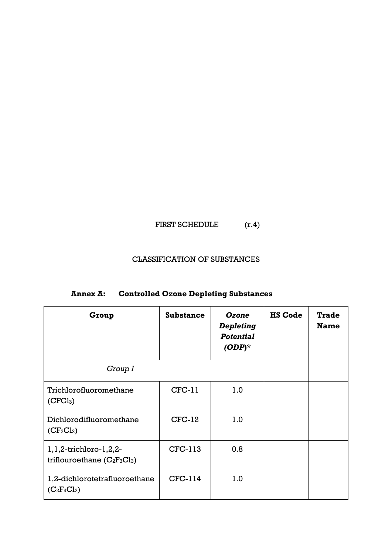# FIRST SCHEDULE  $(r.4)$

## CLASSIFICATION OF SUBSTANCES

| Group                                                         | <b>Substance</b> | Ozone<br>Depleting<br><b>Potential</b><br>$(ODP)^*$ | <b>HS Code</b> | <b>Trade</b><br><b>Name</b> |
|---------------------------------------------------------------|------------------|-----------------------------------------------------|----------------|-----------------------------|
| Group I                                                       |                  |                                                     |                |                             |
| Trichlorofluoromethane<br>(CFCl <sub>3</sub> )                | $CFC-11$         | 1.0                                                 |                |                             |
| Dichlorodifluoromethane<br>$(CF_2Cl_2)$                       | $CFC-12$         | 1.0                                                 |                |                             |
| $1, 1, 2$ -trichloro-1,2,2-<br>triflouroethane $(C_2F_3Cl_3)$ | CFC-113          | 0.8                                                 |                |                             |
| 1,2-dichlorotetrafluoroethane<br>$(C_2F_4Cl_2)$               | CFC-114          | 1.0                                                 |                |                             |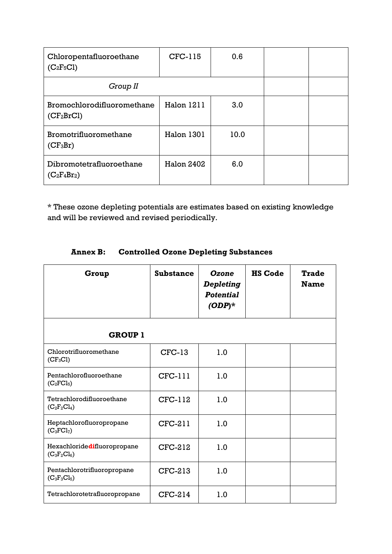| Chloropentafluoroethane<br>$(C_2F_5Cl)$              | CFC-115           | 0.6  |  |
|------------------------------------------------------|-------------------|------|--|
| Group II                                             |                   |      |  |
| Bromochlorodifluoromethane<br>(CF <sub>2</sub> BrCl) | Halon 1211        | 3.0  |  |
| Bromotrifluoromethane<br>$(CF_3Br)$                  | Halon 1301        | 10.0 |  |
| Dibromotetrafluoroethane<br>$(C_2F_4Br_2)$           | <b>Halon 2402</b> | 6.0  |  |

\* These ozone depleting potentials are estimates based on existing knowledge and will be reviewed and revised periodically.

| Group                                         | <b>Substance</b> | Ozone<br><b>Depleting</b><br><b>Potential</b><br>$(ODP)^*$ | <b>HS Code</b> | <b>Trade</b><br><b>Name</b> |
|-----------------------------------------------|------------------|------------------------------------------------------------|----------------|-----------------------------|
| <b>GROUP 1</b>                                |                  |                                                            |                |                             |
| Chlorotrifluoromethane<br>$(CF_3Cl)$          | $CFC-13$         | 1.0                                                        |                |                             |
| Pentachlorofluoroethane<br>$(C_2FCl_5)$       | $CFC-111$        | 1.0                                                        |                |                             |
| Tetrachlorodifluoroethane<br>$(C_2F_2Cl_4)$   | $CFC-112$        | 1.0                                                        |                |                             |
| Heptachlorofluoropropane<br>$(C_3FCl_7)$      | $CFC-211$        | 1.0                                                        |                |                             |
| Hexachloridedifluoropropane<br>$(C_3F_2Cl_6)$ | CFC-212          | 1.0                                                        |                |                             |
| Pentachlorotrifluoropropane<br>$(C_3F_3Cl_5)$ | CFC-213          | 1.0                                                        |                |                             |
| Tetrachlorotetrafluoropropane                 | CFC-214          | 1.0                                                        |                |                             |

# **Annex B: Controlled Ozone Depleting Substances**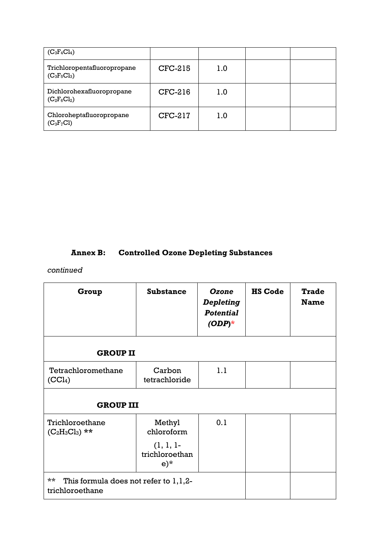| $(C_3F_4Cl_4)$                                |         |     |  |
|-----------------------------------------------|---------|-----|--|
| Trichloropentafluoropropane<br>$(C_3F_5Cl_3)$ | CFC-215 | 1.0 |  |
| Dichlorohexafluoropropane<br>$(C_2F_6Cl_2)$   | CFC-216 | 1.0 |  |
| Chloroheptafluoropropane<br>$(C_3F_7Cl)$      | CFC-217 | 1.0 |  |

# **Annex B: Controlled Ozone Depleting Substances**

# *continued*

| Group                                                                | <b>Substance</b>                        | Ozone<br><b>Depleting</b><br><b>Potential</b><br>$(ODP)^*$ | <b>HS Code</b> | <b>Trade</b><br><b>Name</b> |  |  |
|----------------------------------------------------------------------|-----------------------------------------|------------------------------------------------------------|----------------|-----------------------------|--|--|
| <b>GROUP II</b>                                                      |                                         |                                                            |                |                             |  |  |
| Tetrachloromethane<br>(CCl <sub>4</sub> )                            | Carbon<br>tetrachloride                 | 1.1                                                        |                |                             |  |  |
|                                                                      | <b>GROUP III</b>                        |                                                            |                |                             |  |  |
| Trichloroethane<br>$(C_2H_3Cl_3)$ **                                 | Methyl<br>chloroform                    | 0.1                                                        |                |                             |  |  |
|                                                                      | $(1, 1, 1-$<br>trichloroethan<br>$e)$ * |                                                            |                |                             |  |  |
| $***$<br>This formula does not refer to $1,1,2$ -<br>trichloroethane |                                         |                                                            |                |                             |  |  |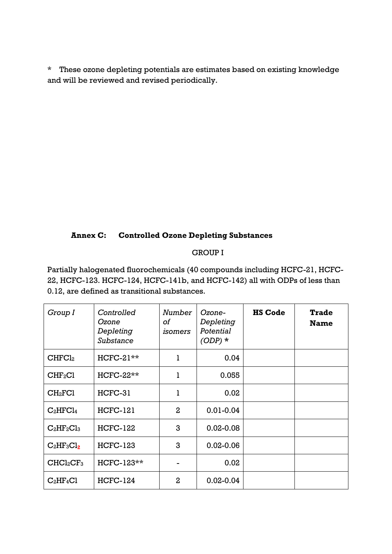\* These ozone depleting potentials are estimates based on existing knowledge and will be reviewed and revised periodically.

## **Annex C: Controlled Ozone Depleting Substances**

## GROUP I

Partially halogenated fluorochemicals (40 compounds including HCFC-21, HCFC-22, HCFC-123. HCFC-124, HCFC-141b, and HCFC-142) all with ODPs of less than 0.12, are defined as transitional substances.

| Group I                           | Controlled<br>Ozone<br>Depleting<br>Substance | Number<br>of<br>isomers | Ozone-<br>Depleting<br>Potential<br>$(ODP)$ * | <b>HS Code</b> | <b>Trade</b><br><b>Name</b> |
|-----------------------------------|-----------------------------------------------|-------------------------|-----------------------------------------------|----------------|-----------------------------|
| CHFCl <sub>2</sub>                | $HCFC-21**$                                   | ı                       | 0.04                                          |                |                             |
| CHF <sub>2</sub> Cl               | HCFC-22**                                     | ı                       | 0.055                                         |                |                             |
| CH <sub>2</sub> FC1               | HCFC-31                                       | 1                       | 0.02                                          |                |                             |
| $C_2HFC1_4$                       | <b>HCFC-121</b>                               | $\mathbf{2}$            | $0.01 - 0.04$                                 |                |                             |
| $C_2HF_2Cl_3$                     | <b>HCFC-122</b>                               | 3                       | $0.02 - 0.08$                                 |                |                             |
| $C_2HF_3Cl_2$                     | <b>HCFC-123</b>                               | 3                       | $0.02 - 0.06$                                 |                |                             |
| CHCl <sub>2</sub> CF <sub>3</sub> | HCFC-123**                                    |                         | 0.02                                          |                |                             |
| $C_2HF_4Cl$                       | <b>HCFC-124</b>                               | $\overline{2}$          | $0.02 - 0.04$                                 |                |                             |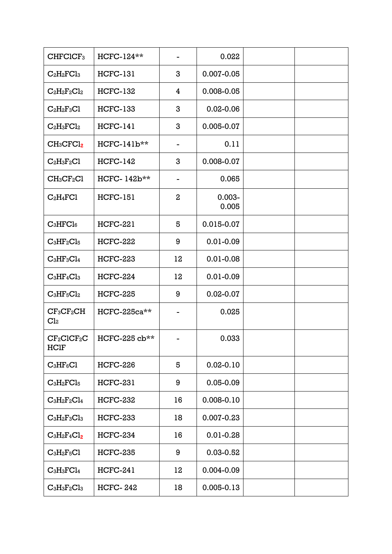| CHFCICF <sub>3</sub>            | HCFC-124**      |                              | 0.022              |  |
|---------------------------------|-----------------|------------------------------|--------------------|--|
| $C_2H_2FCl_3$                   | <b>HCFC-131</b> | 3                            | $0.007 - 0.05$     |  |
| $C_2H_2F_2Cl_2$                 | <b>HCFC-132</b> | 4                            | 0.008-0.05         |  |
| $C_2H_2F_3Cl$                   | <b>HCFC-133</b> | 3                            | $0.02 - 0.06$      |  |
| $C_2H_3FCl_2$                   | <b>HCFC-141</b> | 3                            | 0.005-0.07         |  |
| $CH_3CFCl_2$                    | $HCFC-141b**$   | $\qquad \qquad \blacksquare$ | 0.11               |  |
| $C_2H_3F_2Cl$                   | <b>HCFC-142</b> | 3                            | 0.008-0.07         |  |
| $CH_3CF_2Cl$                    | HCFC-142b**     |                              | 0.065              |  |
| $C_2H_4FC1$                     | <b>HCFC-151</b> | $\overline{2}$               | $0.003 -$<br>0.005 |  |
| $C_3HFCl_6$                     | <b>HCFC-221</b> | 5                            | 0.015-0.07         |  |
| $C_3HF_2Cl_5$                   | <b>HCFC-222</b> | 9                            | $0.01 - 0.09$      |  |
| $C_3HF_3Cl_4$                   | <b>HCFC-223</b> | 12                           | $0.01 - 0.08$      |  |
| $C_3HF_4Cl_3$                   | <b>HCFC-224</b> | 12                           | $0.01 - 0.09$      |  |
| $C_3HF_5Cl_2$                   | <b>HCFC-225</b> | 9                            | $0.02 - 0.07$      |  |
| $CF_3CF_2CH$<br>Cl <sub>2</sub> | HCFC-225ca**    |                              | 0.025              |  |
| $CF_2CICF_2C$<br><b>HCIF</b>    | HCFC-225 cb**   |                              | 0.033              |  |
| $C_3HF_6Cl$                     | <b>HCFC-226</b> | 5                            | $0.02 - 0.10$      |  |
| $C_3H_2FCl_5$                   | <b>HCFC-231</b> | 9                            | $0.05 - 0.09$      |  |
| $C_3H_2F_2Cl_4$                 | <b>HCFC-232</b> | 16                           | $0.008 - 0.10$     |  |
| $C_3H_2F_3Cl_3$                 | <b>HCFC-233</b> | 18                           | $0.007 - 0.23$     |  |
| $C_3H_2F_4Cl_2$                 | <b>HCFC-234</b> | 16                           | $0.01 - 0.28$      |  |
| $C_3H_2F_5Cl$                   | <b>HCFC-235</b> | 9                            | $0.03 - 0.52$      |  |
| $C_3H_3FCl_4$                   | <b>HCFC-241</b> | 12                           | $0.004 - 0.09$     |  |
| $C_3H_3F_2Cl_3$                 | <b>HCFC-242</b> | 18                           | $0.005 - 0.13$     |  |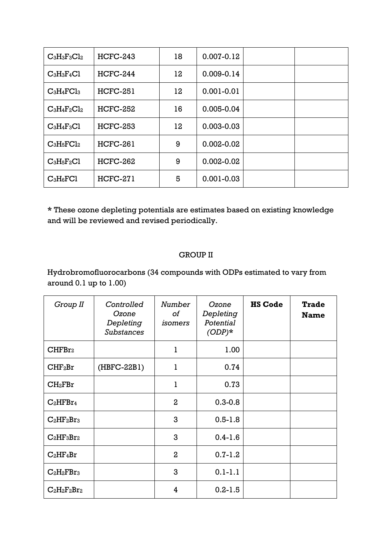| $C_3H_3F_3Cl_2$ | $HCFC-243$      | 18 | $0.007 - 0.12$ |  |
|-----------------|-----------------|----|----------------|--|
| $C_3H_3F_4Cl$   | $HCFC-244$      | 12 | $0.009 - 0.14$ |  |
| $C_3H_4FCl_3$   | <b>HCFC-251</b> | 12 | $0.001 - 0.01$ |  |
| $C_3H_4F_2Cl_2$ | <b>HCFC-252</b> | 16 | 0.005-0.04     |  |
| $C_3H_4F_3Cl$   | <b>HCFC-253</b> | 12 | $0.003 - 0.03$ |  |
| $C_3H_5FCl_2$   | <b>HCFC-261</b> | 9  | $0.002 - 0.02$ |  |
| $C_3H_5F_2Cl$   | $HCFC-262$      | 9  | $0.002 - 0.02$ |  |
| $C_3H_6FC1$     | <b>HCFC-271</b> | 5  | $0.001 - 0.03$ |  |

**\*** These ozone depleting potentials are estimates based on existing knowledge and will be reviewed and revised periodically.

## GROUP II

Hydrobromofluorocarbons (34 compounds with ODPs estimated to vary from around 0.1 up to 1.00)

| Group II            | Controlled<br>Ozone<br>Depleting<br><b>Substances</b> | Number<br>оf<br>isomers | Ozone<br>Depleting<br>Potential<br>$(ODP)*$ | <b>HS Code</b> | <b>Trade</b><br><b>Name</b> |
|---------------------|-------------------------------------------------------|-------------------------|---------------------------------------------|----------------|-----------------------------|
| CHFBr <sub>2</sub>  |                                                       | $\mathbf{1}$            | 1.00                                        |                |                             |
| CHF <sub>2</sub> Br | $(HBFC-22B1)$                                         | ı                       | 0.74                                        |                |                             |
| $CH_2FBr$           |                                                       | 1                       | 0.73                                        |                |                             |
| $C_2HFBr_4$         |                                                       | $\mathbf{2}$            | $0.3 - 0.8$                                 |                |                             |
| $C_2HF_2Br_3$       |                                                       | 3                       | $0.5 - 1.8$                                 |                |                             |
| $C_2HF_3Br_2$       |                                                       | 3                       | $0.4 - 1.6$                                 |                |                             |
| $C_2HF_4Br$         |                                                       | $\overline{2}$          | $0.7 - 1.2$                                 |                |                             |
| $C_2H_2FBr_3$       |                                                       | 3                       | $0.1 - 1.1$                                 |                |                             |
| $C_2H_2F_2Br_2$     |                                                       | 4                       | $0.2 - 1.5$                                 |                |                             |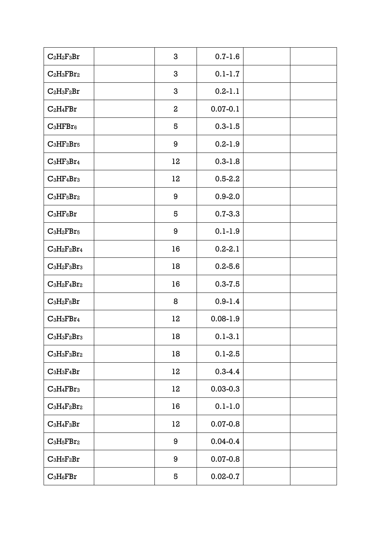| $C_2H_2F_3Br$   | 3            | $0.7 - 1.6$  |  |
|-----------------|--------------|--------------|--|
| $C_2H_3FBr_2$   | 3            | $0.1 - 1.7$  |  |
| $C_2H_3F_2Br$   | 3            | $0.2 - 1.1$  |  |
| $C_2H_4FBr$     | $\mathbf{2}$ | $0.07 - 0.1$ |  |
| $C_3HFBr6$      | 5            | $0.3 - 1.5$  |  |
| $C_3HF_2Br_5$   | 9            | $0.2 - 1.9$  |  |
| $C_3HF_3Br_4$   | 12           | $0.3 - 1.8$  |  |
| $C_3HF_4Br_3$   | 12           | $0.5 - 2.2$  |  |
| $C_3HF_5Br_2$   | 9            | $0.9 - 2.0$  |  |
| $C_3HF_6Br$     | 5            | $0.7 - 3.3$  |  |
| $C_3H_2FBr_5$   | 9            | $0.1 - 1.9$  |  |
| $C_3H_2F_2Br_4$ | 16           | $0.2 - 2.1$  |  |
| $C_3H_2F_3Br_3$ | 18           | $0.2 - 5.6$  |  |
| $C_3H_2F_4Br_2$ | 16           | $0.3 - 7.5$  |  |
| $C_3H_2F_5Br$   | 8            | $0.9 - 1.4$  |  |
| $C_3H_3FBr_4$   | 12           | $0.08 - 1.9$ |  |
| $C_3H_3F_2Br_3$ | 18           | $0.1 - 3.1$  |  |
| $C_3H_3F_3Br_2$ | 18           | $0.1 - 2.5$  |  |
| $C_3H_3F_4Br$   | 12           | $0.3 - 4.4$  |  |
| $C_3H_4FBr_3$   | 12           | $0.03 - 0.3$ |  |
| $C_3H_4F_2Br_2$ | 16           | $0.1 - 1.0$  |  |
| $C_3H_4F_3Br$   | 12           | $0.07 - 0.8$ |  |
| $C_3H_5FBr_2$   | 9            | $0.04 - 0.4$ |  |
| $C_3H_5F_2Br$   | 9            | $0.07 - 0.8$ |  |
| $C_3H_6FBr$     | 5            | $0.02 - 0.7$ |  |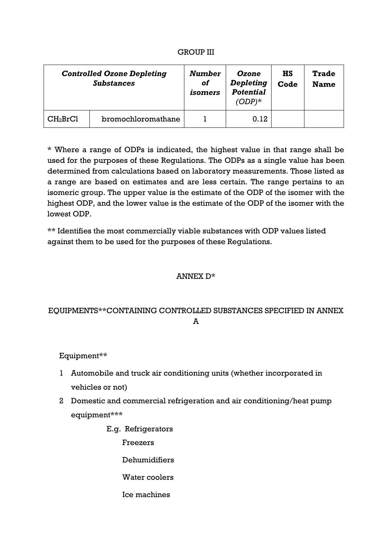### GROUP III

|                      | <b>Controlled Ozone Depleting</b><br><b>Substances</b> | Number<br><b>of</b><br>isomers | Ozone<br>Depleting<br><b>Potential</b><br>$(ODP)^*$ | <b>HS</b><br>Code | <b>Trade</b><br><b>Name</b> |
|----------------------|--------------------------------------------------------|--------------------------------|-----------------------------------------------------|-------------------|-----------------------------|
| CH <sub>2</sub> BrCl | bromochloromathane                                     |                                | 0.12                                                |                   |                             |

\* Where a range of ODPs is indicated, the highest value in that range shall be used for the purposes of these Regulations. The ODPs as a single value has been determined from calculations based on laboratory measurements. Those listed as a range are based on estimates and are less certain. The range pertains to an isomeric group. The upper value is the estimate of the ODP of the isomer with the highest ODP, and the lower value is the estimate of the ODP of the isomer with the lowest ODP.

\*\* Identifies the most commercially viable substances with ODP values listed against them to be used for the purposes of these Regulations.

### ANNEX D\*

# EQUIPMENTS\*\*CONTAINING CONTROLLED SUBSTANCES SPECIFIED IN ANNEX A

Equipment\*\*

- 1 Automobile and truck air conditioning units (whether incorporated in vehicles or not)
- 2 Domestic and commercial refrigeration and air conditioning/heat pump equipment\*\*\*
	- E.g. Refrigerators

Freezers

Dehumidifiers

Water coolers

Ice machines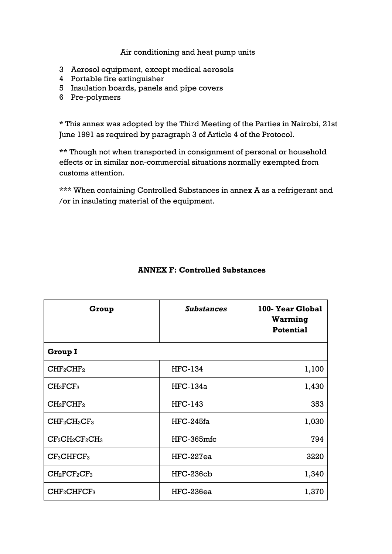## Air conditioning and heat pump units

- 3 Aerosol equipment, except medical aerosols
- 4 Portable fire extinguisher
- 5 Insulation boards, panels and pipe covers
- 6 Pre-polymers

\* This annex was adopted by the Third Meeting of the Parties in Nairobi, 21st June 1991 as required by paragraph 3 of Article 4 of the Protocol.

\*\* Though not when transported in consignment of personal or household effects or in similar non-commercial situations normally exempted from customs attention.

\*\*\* When containing Controlled Substances in annex A as a refrigerant and /or in insulating material of the equipment.

| Group                               | <b>Substances</b> | 100-Year Global<br>Warming<br><b>Potential</b> |
|-------------------------------------|-------------------|------------------------------------------------|
| <b>Group I</b>                      |                   |                                                |
| CHF <sub>2</sub> CHF <sub>2</sub>   | <b>HFC-134</b>    | 1,100                                          |
| CH <sub>2</sub> FCF <sub>3</sub>    | $HFC-134a$        | 1,430                                          |
| $CH_2FCHF_2$                        | <b>HFC-143</b>    | 353                                            |
| $CHF2CH2CF3$                        | $HFC-245fa$       | 1,030                                          |
| $CF3CH2CF2CH3$                      | HFC-365mfc        | 794                                            |
| CF <sub>3</sub> CHFCF <sub>3</sub>  | $HFC-227ea$       | 3220                                           |
| $CH_2FCF_2CF_3$                     | HFC-236cb         | 1,340                                          |
| CHF <sub>2</sub> CHFCF <sub>3</sub> | HFC-236ea         | 1,370                                          |

## **ANNEX F: Controlled Substances**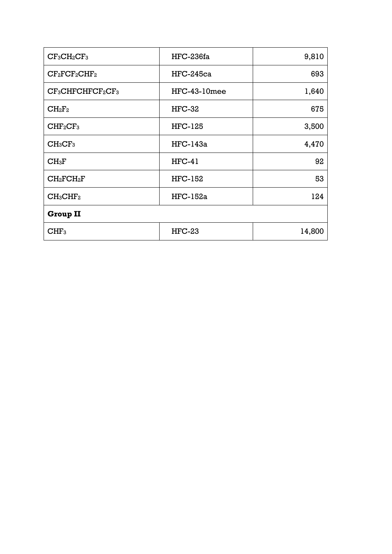| $CF3CH2CF3$                      | $HFC-236fa$     | 9,810  |
|----------------------------------|-----------------|--------|
| $CF_2CCF_2CHF_2$                 | $HFC-245ca$     | 693    |
| $CF3CHFCHFCF2CF3$                | HFC-43-10mee    | 1,640  |
| $CH_2F_2$                        | $HFC-32$        | 675    |
| CHF <sub>2</sub> CF <sub>3</sub> | <b>HFC-125</b>  | 3,500  |
| CH <sub>3</sub> CF <sub>3</sub>  | $HFC-143a$      | 4,470  |
| CH <sub>3</sub> F                | $HFC-41$        | 92     |
| $CH_2FCH_2F$                     | <b>HFC-152</b>  | 53     |
| $CH_3CHF_2$                      | <b>HFC-152a</b> | 124    |
| <b>Group II</b>                  |                 |        |
| CHF <sub>3</sub>                 | $HFC-23$        | 14,800 |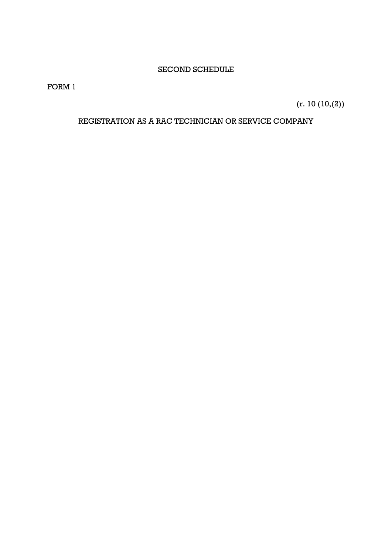## SECOND SCHEDULE

FORM 1

(r. 10 (10,(2))

## REGISTRATION AS A RAC TECHNICIAN OR SERVICE COMPANY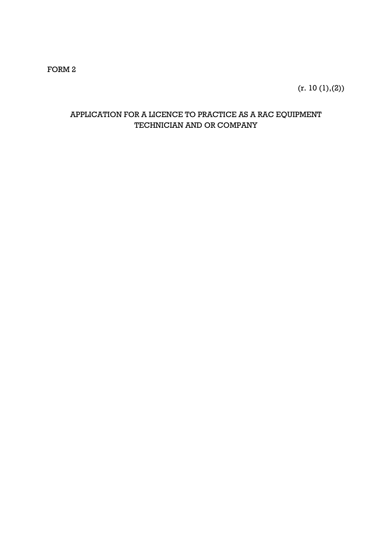## FORM 2

 $(r. 10 (1), (2))$ 

# APPLICATION FOR A LICENCE TO PRACTICE AS A RAC EQUIPMENT TECHNICIAN AND OR COMPANY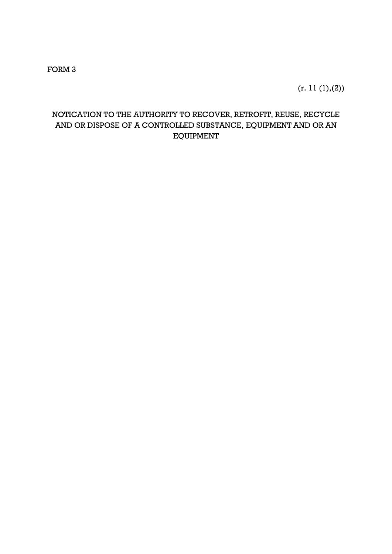FORM 3

 $(r. 11 (1), (2))$ 

# NOTICATION TO THE AUTHORITY TO RECOVER, RETROFIT, REUSE, RECYCLE AND OR DISPOSE OF A CONTROLLED SUBSTANCE, EQUIPMENT AND OR AN EQUIPMENT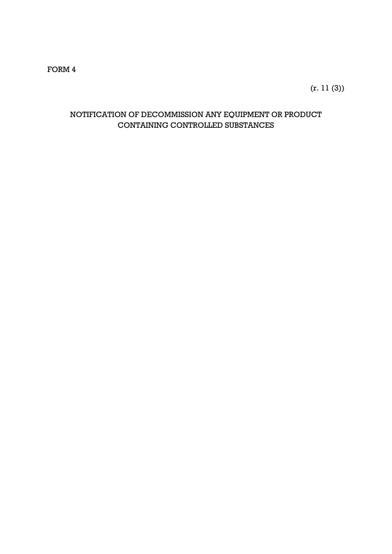(r. 11 (3))

# NOTIFICATION OF DECOMMISSION ANY EQUIPMENT OR PRODUCT CONTAINING CONTROLLED SUBSTANCES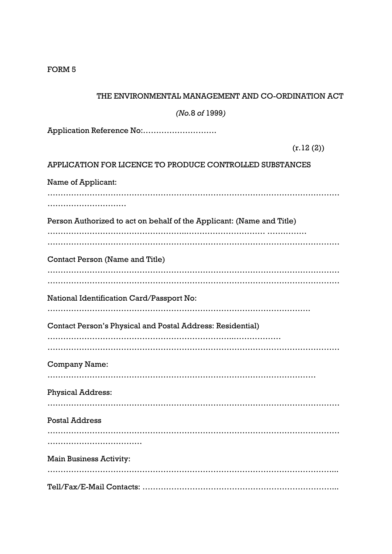| THE ENVIRONMENTAL MANAGEMENT AND CO-ORDINATION ACT                    |
|-----------------------------------------------------------------------|
| (No.8 of 1999)                                                        |
| Application Reference No:                                             |
| (r.12(2))                                                             |
| APPLICATION FOR LICENCE TO PRODUCE CONTROLLED SUBSTANCES              |
| Name of Applicant:                                                    |
|                                                                       |
| Person Authorized to act on behalf of the Applicant: (Name and Title) |
| Contact Person (Name and Title)                                       |
| National Identification Card/Passport No:                             |
| <b>Contact Person's Physical and Postal Address: Residential)</b>     |
| Company Name:                                                         |
| <b>Physical Address:</b>                                              |
| <b>Postal Address</b>                                                 |
|                                                                       |
| <b>Main Business Activity:</b>                                        |
|                                                                       |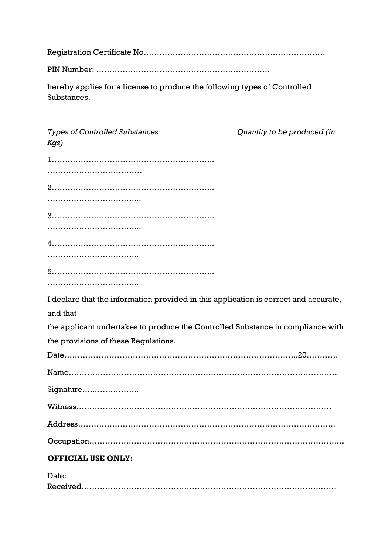Registration Certificate No……………………………………………………………

PIN Number: …………………………………………………………

hereby applies for a license to produce the following types of Controlled Substances.

| <b>Types of Controlled Substances</b><br>Kgs)                                        | Quantity to be produced (in |
|--------------------------------------------------------------------------------------|-----------------------------|
|                                                                                      |                             |
|                                                                                      |                             |
|                                                                                      |                             |
|                                                                                      |                             |
|                                                                                      |                             |
|                                                                                      |                             |
|                                                                                      |                             |
|                                                                                      |                             |
|                                                                                      |                             |
|                                                                                      |                             |
| I declare that the information provided in this application is correct and accurate, |                             |
| and that                                                                             |                             |
| the applicant undertakes to produce the Controlled Substance in compliance with      |                             |
| the provisions of these Regulations.                                                 |                             |
|                                                                                      |                             |
|                                                                                      |                             |
| Signature                                                                            |                             |
|                                                                                      |                             |
|                                                                                      |                             |
|                                                                                      |                             |
| <b>OFFICIAL USE ONLY:</b>                                                            |                             |
| Date:                                                                                |                             |

Received……………………………………………………………………………….……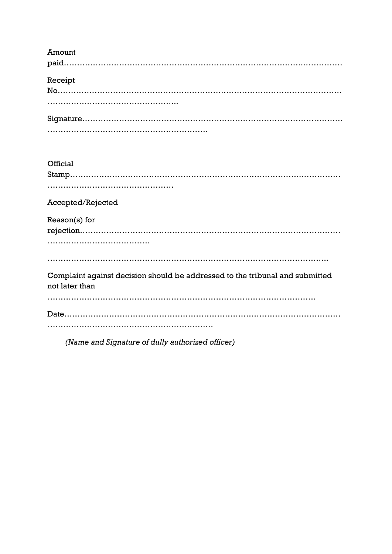| Amount                                                                                         |
|------------------------------------------------------------------------------------------------|
|                                                                                                |
| Receipt                                                                                        |
|                                                                                                |
|                                                                                                |
|                                                                                                |
|                                                                                                |
|                                                                                                |
| Official                                                                                       |
|                                                                                                |
|                                                                                                |
|                                                                                                |
| Accepted/Rejected                                                                              |
| Reason(s) for                                                                                  |
|                                                                                                |
|                                                                                                |
|                                                                                                |
| Complaint against decision should be addressed to the tribunal and submitted<br>not later than |
|                                                                                                |
|                                                                                                |
|                                                                                                |

*(Name and Signature of dully authorized officer)*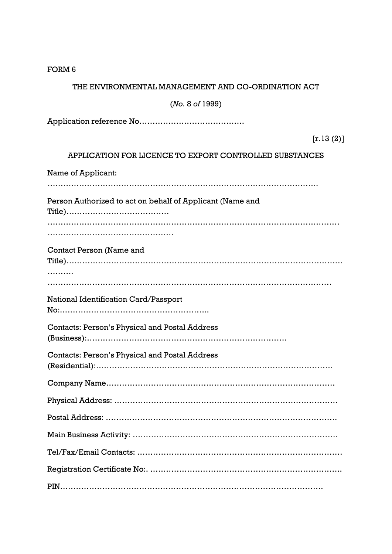| FORM <sub>6</sub>                                         |
|-----------------------------------------------------------|
| THE ENVIRONMENTAL MANAGEMENT AND CO-ORDINATION ACT        |
| (No. 8 of 1999)                                           |
|                                                           |
| [r.13(2)]                                                 |
| APPLICATION FOR LICENCE TO EXPORT CONTROLLED SUBSTANCES   |
| Name of Applicant:                                        |
|                                                           |
| Person Authorized to act on behalf of Applicant (Name and |
|                                                           |
|                                                           |
| Contact Person (Name and                                  |
|                                                           |
|                                                           |
| National Identification Card/Passport                     |
|                                                           |
| <b>Contacts: Person's Physical and Postal Address</b>     |
|                                                           |
| <b>Contacts: Person's Physical and Postal Address</b>     |
|                                                           |
|                                                           |
|                                                           |
|                                                           |
|                                                           |
|                                                           |
|                                                           |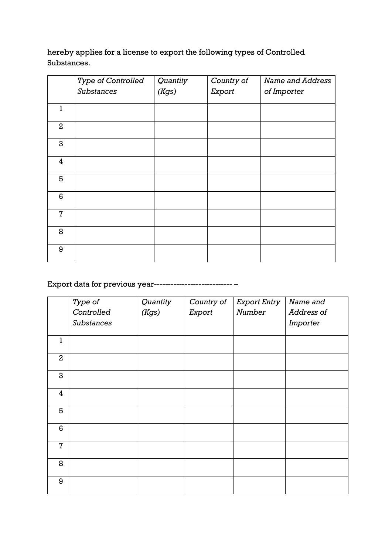hereby applies for a license to export the following types of Controlled Substances.

|                         | Type of Controlled<br><b>Substances</b> | Quantity<br>(Kgs) | Country of<br>Export | <b>Name and Address</b><br>of Importer |
|-------------------------|-----------------------------------------|-------------------|----------------------|----------------------------------------|
|                         |                                         |                   |                      |                                        |
| $\mathbf{1}$            |                                         |                   |                      |                                        |
| $\mathbf{2}$            |                                         |                   |                      |                                        |
| 3                       |                                         |                   |                      |                                        |
| $\overline{\mathbf{4}}$ |                                         |                   |                      |                                        |
| 5                       |                                         |                   |                      |                                        |
| 6                       |                                         |                   |                      |                                        |
| $\overline{7}$          |                                         |                   |                      |                                        |
| 8                       |                                         |                   |                      |                                        |
| 9                       |                                         |                   |                      |                                        |

Export data for previous year---------------------------- –

|                | Type of    | Quantity | Country of | <b>Export Entry</b> | Name and   |
|----------------|------------|----------|------------|---------------------|------------|
|                | Controlled | (Kgs)    | Export     | Number              | Address of |
|                | Substances |          |            |                     | Importer   |
|                |            |          |            |                     |            |
| ı              |            |          |            |                     |            |
| $\overline{2}$ |            |          |            |                     |            |
| 3              |            |          |            |                     |            |
| 4              |            |          |            |                     |            |
| 5              |            |          |            |                     |            |
| 6              |            |          |            |                     |            |
| $\overline{7}$ |            |          |            |                     |            |
| 8              |            |          |            |                     |            |
| 9              |            |          |            |                     |            |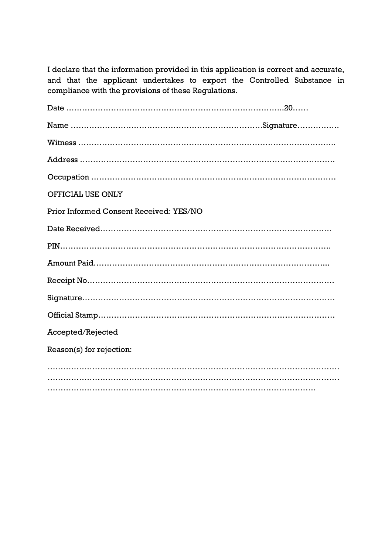I declare that the information provided in this application is correct and accurate, and that the applicant undertakes to export the Controlled Substance in compliance with the provisions of these Regulations.

| OFFICIAL USE ONLY                       |  |
|-----------------------------------------|--|
| Prior Informed Consent Received: YES/NO |  |
|                                         |  |
|                                         |  |
|                                         |  |
|                                         |  |
|                                         |  |
|                                         |  |
| Accepted/Rejected                       |  |
| Reason(s) for rejection:                |  |
|                                         |  |
|                                         |  |
|                                         |  |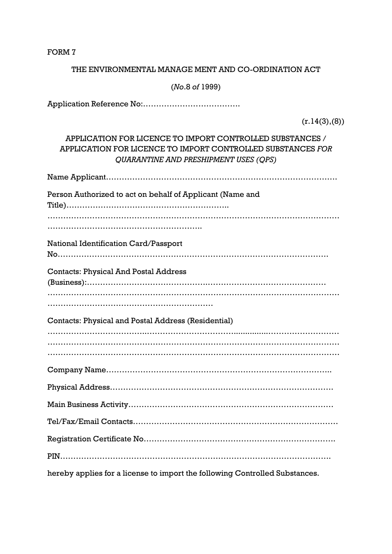### THE ENVIRONMENTAL MANAGE MENT AND CO-ORDINATION ACT

(*No*.8 *of* 1999)

Application Reference No:……………………………….

 $(r.14(3),(8))$ 

# APPLICATION FOR LICENCE TO IMPORT CONTROLLED SUBSTANCES / APPLICATION FOR LICENCE TO IMPORT CONTROLLED SUBSTANCES *FOR QUARANTINE AND PRESHIPMENT USES (QPS)*

Name Applicant…………………………………………………………………………….

Person Authorized to act on behalf of Applicant (Name and Title)……………………………………………………..

………………………………………………………………………………………………… …………………………………………………..

National Identification Card/Passport

No………………………………………………………………………………………….

Contacts: Physical And Postal Address

(Business):……………………………………….……………………………………… ………………………………………………………………………………………………… ………………………………………………………

Contacts: Physical and Postal Address (Residential)

………………………………..……………………………...............……………………… ………………………………………………………………………………………………… ………………………………………………………………………………………………… Company Name…………………………………………………………………………..

Physical Address………………………………………………………………………….

Main Business Activity…………………………………………………………………… Tel/Fax/Email Contacts……………………………………………………………………

Registration Certificate No……………………………………………………………….

PIN………………………………………………………………………………………….

hereby applies for a license to import the following Controlled Substances.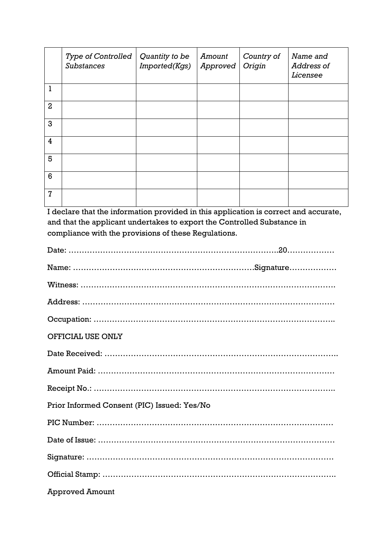|                | <b>Type of Controlled</b><br><b>Substances</b> | Quantity to be<br>Imported(Kgs) | Amount<br>Approved | Country of<br>Origin | Name and<br>Address of<br>Licensee |
|----------------|------------------------------------------------|---------------------------------|--------------------|----------------------|------------------------------------|
| ı              |                                                |                                 |                    |                      |                                    |
| $\overline{2}$ |                                                |                                 |                    |                      |                                    |
| 3              |                                                |                                 |                    |                      |                                    |
| $\overline{4}$ |                                                |                                 |                    |                      |                                    |
| 5              |                                                |                                 |                    |                      |                                    |
| 6              |                                                |                                 |                    |                      |                                    |
| $\overline{7}$ |                                                |                                 |                    |                      |                                    |

I declare that the information provided in this application is correct and accurate, and that the applicant undertakes to export the Controlled Substance in compliance with the provisions of these Regulations.

| OFFICIAL USE ONLY                           |  |
|---------------------------------------------|--|
|                                             |  |
|                                             |  |
|                                             |  |
| Prior Informed Consent (PIC) Issued: Yes/No |  |
|                                             |  |
|                                             |  |
|                                             |  |
|                                             |  |
| <b>Approved Amount</b>                      |  |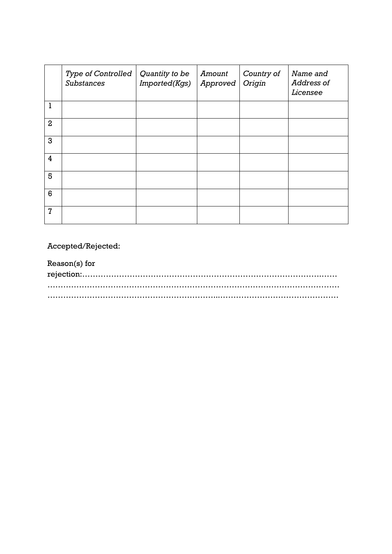|                | <b>Type of Controlled</b><br><b>Substances</b> | Quantity to be<br>Imported(Kgs) | Amount<br>Approved | Country of<br>Origin | Name and<br>Address of<br>Licensee |
|----------------|------------------------------------------------|---------------------------------|--------------------|----------------------|------------------------------------|
| 1              |                                                |                                 |                    |                      |                                    |
| $\overline{2}$ |                                                |                                 |                    |                      |                                    |
| 3              |                                                |                                 |                    |                      |                                    |
| 4              |                                                |                                 |                    |                      |                                    |
| 5              |                                                |                                 |                    |                      |                                    |
| 6              |                                                |                                 |                    |                      |                                    |
| $\overline{7}$ |                                                |                                 |                    |                      |                                    |

Accepted/Rejected:

Reason(s) for rejection:……………………………………………………………………………….…… ………………………………………………………………………………………………… ………………………………………………………...………………………………………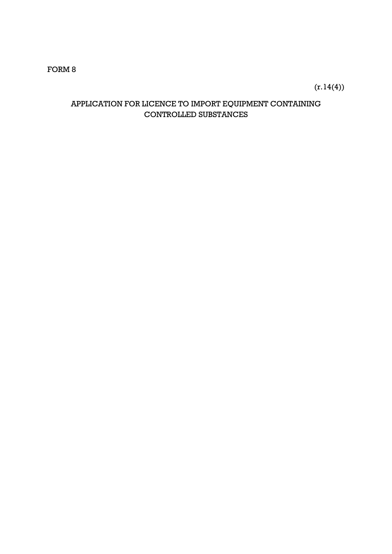$(r.14(4))$ 

# APPLICATION FOR LICENCE TO IMPORT EQUIPMENT CONTAINING CONTROLLED SUBSTANCES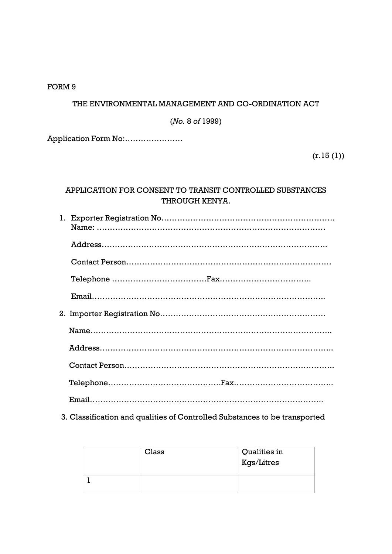### THE ENVIRONMENTAL MANAGEMENT AND CO-ORDINATION ACT

(*No.* 8 *of* 1999)

Application Form No:………………….

 $(r.15(1))$ 

# APPLICATION FOR CONSENT TO TRANSIT CONTROLLED SUBSTANCES THROUGH KENYA.

3. Classification and qualities of Controlled Substances to be transported

| Class | Qualities in<br>Kgs/Litres |
|-------|----------------------------|
|       |                            |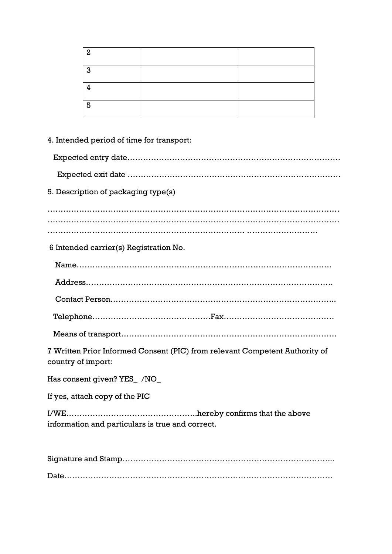| 2          |  |
|------------|--|
| <b>1.3</b> |  |
|            |  |
| l 5        |  |

# 4. Intended period of time for transport:

| 5. Description of packaging type(s)                                                               |
|---------------------------------------------------------------------------------------------------|
|                                                                                                   |
|                                                                                                   |
| 6 Intended carrier(s) Registration No.                                                            |
|                                                                                                   |
|                                                                                                   |
|                                                                                                   |
|                                                                                                   |
|                                                                                                   |
|                                                                                                   |
| 7 Written Prior Informed Consent (PIC) from relevant Competent Authority of<br>country of import: |

Has consent given? YES\_ /NO\_

If yes, attach copy of the PIC

I/WE…………………………………………..hereby confirms that the above information and particulars is true and correct.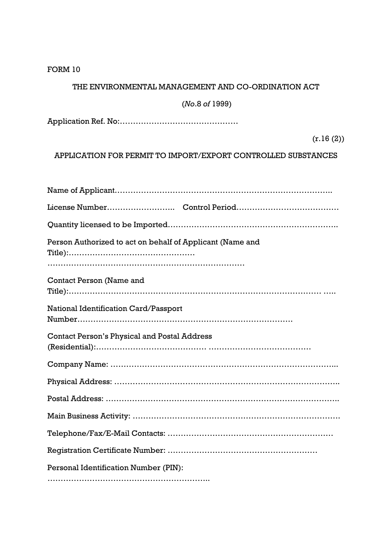# THE ENVIRONMENTAL MANAGEMENT AND CO-ORDINATION ACT

# (*No*.8 *of* 1999)

Application Ref. No:………………………………………

# (r.16 (2))

APPLICATION FOR PERMIT TO IMPORT/EXPORT CONTROLLED SUBSTANCES

| Person Authorized to act on behalf of Applicant (Name and |
|-----------------------------------------------------------|
|                                                           |
| Contact Person (Name and                                  |
|                                                           |
| National Identification Card/Passport                     |
|                                                           |
| <b>Contact Person's Physical and Postal Address</b>       |
|                                                           |
|                                                           |
|                                                           |
|                                                           |
|                                                           |
|                                                           |
| Personal Identification Number (PIN):                     |
|                                                           |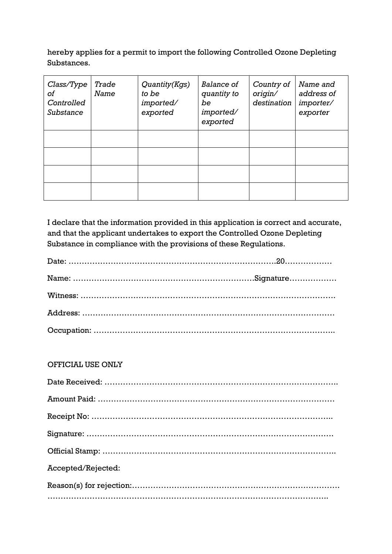hereby applies for a permit to import the following Controlled Ozone Depleting Substances.

| Class/Type<br>оf<br>Controlled<br>Substance | Trade<br>Name | Quantity(Kgs)<br>to be<br>imported/<br>exported | Balance of<br>quantity to<br>be<br>imported/<br>exported | Country of<br>origin/<br>destination | Name and<br>address of<br>importer/<br>exporter |
|---------------------------------------------|---------------|-------------------------------------------------|----------------------------------------------------------|--------------------------------------|-------------------------------------------------|
|                                             |               |                                                 |                                                          |                                      |                                                 |
|                                             |               |                                                 |                                                          |                                      |                                                 |
|                                             |               |                                                 |                                                          |                                      |                                                 |
|                                             |               |                                                 |                                                          |                                      |                                                 |

I declare that the information provided in this application is correct and accurate, and that the applicant undertakes to export the Controlled Ozone Depleting Substance in compliance with the provisions of these Regulations.

### OFFICIAL USE ONLY

| Accepted/Rejected: |
|--------------------|
|                    |
|                    |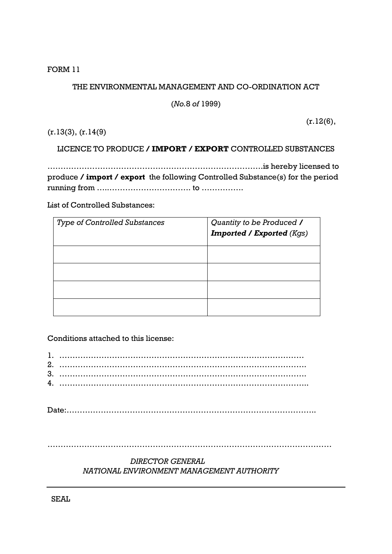# THE ENVIRONMENTAL MANAGEMENT AND CO-ORDINATION ACT

(*No.*8 *of* 1999)

 $(r.12(6),$ 

(r.13(3), (r.14(9)

# LICENCE TO PRODUCE **/ IMPORT / EXPORT** CONTROLLED SUBSTANCES

……………………………………………………………………….is hereby licensed to produce **/ import / export** the following Controlled Substance(s) for the period running from …..…………………………. to …………….

List of Controlled Substances:

| <b>Type of Controlled Substances</b> | Quantity to be Produced /<br><b>Imported / Exported (Kgs)</b> |
|--------------------------------------|---------------------------------------------------------------|
|                                      |                                                               |
|                                      |                                                               |
|                                      |                                                               |
|                                      |                                                               |

Conditions attached to this license:

| 2. |  |
|----|--|
| 3. |  |
| 4. |  |
|    |  |

Date:…………………………………………………………………………………..

………………………………………………………………………………………………

# *DIRECTOR GENERAL NATIONAL ENVIRONMENT MANAGEMENT AUTHORITY*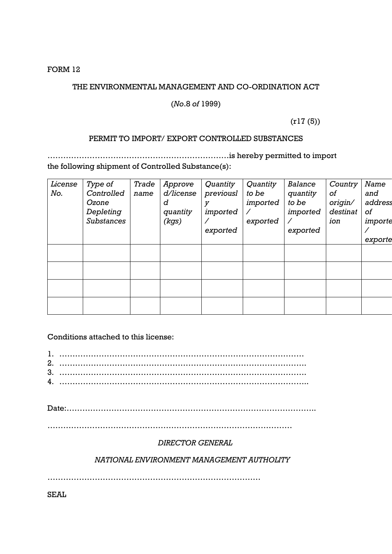### THE ENVIRONMENTAL MANAGEMENT AND CO-ORDINATION ACT

#### (*No*.8 *of* 1999)

(r17 (5))

#### PERMIT TO IMPORT/ EXPORT CONTROLLED SUBSTANCES

……………………………………………………………is hereby permitted to import the following shipment of Controlled Substance(s):

| License | Type of           | Trade | Approve   | Quantity  | Quantity | Balance  | Country  | Name    |
|---------|-------------------|-------|-----------|-----------|----------|----------|----------|---------|
| No.     | Controlled        | name  | d/license | previousl | to be    | quantity | 0f       | and     |
|         | Ozone             |       | d         | V         | imported | to be    | origin/  | address |
|         | Depleting         |       | quantity  | imported  |          | imported | destinat | οf      |
|         | <b>Substances</b> |       | (kgs)     |           | exported |          | ion      | importe |
|         |                   |       |           | exported  |          | exported |          |         |
|         |                   |       |           |           |          |          |          | exporte |
|         |                   |       |           |           |          |          |          |         |
|         |                   |       |           |           |          |          |          |         |
|         |                   |       |           |           |          |          |          |         |
|         |                   |       |           |           |          |          |          |         |
|         |                   |       |           |           |          |          |          |         |
|         |                   |       |           |           |          |          |          |         |
|         |                   |       |           |           |          |          |          |         |
|         |                   |       |           |           |          |          |          |         |

Conditions attached to this license:

| 2. |  |
|----|--|
| 3. |  |
| 4. |  |
|    |  |

Date:…………………………………………………………………………………..

…………………………………………………………………………………

### *DIRECTOR GENERAL*

 *NATIONAL ENVIRONMENT MANAGEMENT AUTHOLITY*

………………………………………………………………………

SEAL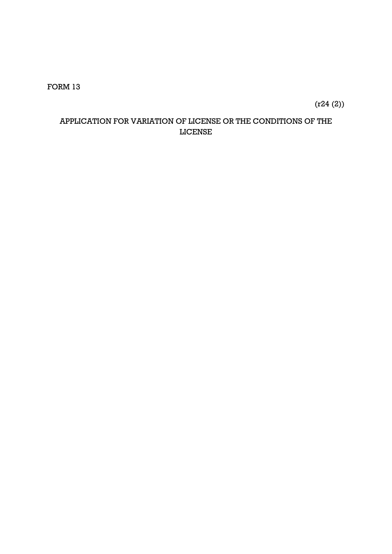(r24 (2))

# APPLICATION FOR VARIATION OF LICENSE OR THE CONDITIONS OF THE LICENSE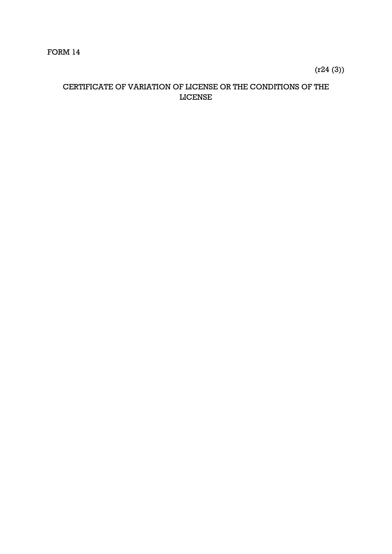(r24 (3))

# CERTIFICATE OF VARIATION OF LICENSE OR THE CONDITIONS OF THE LICENSE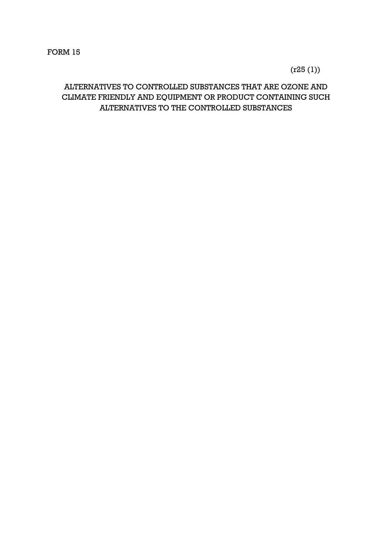$(r25 (1))$ 

# ALTERNATIVES TO CONTROLLED SUBSTANCES THAT ARE OZONE AND CLIMATE FRIENDLY AND EQUIPMENT OR PRODUCT CONTAINING SUCH ALTERNATIVES TO THE CONTROLLED SUBSTANCES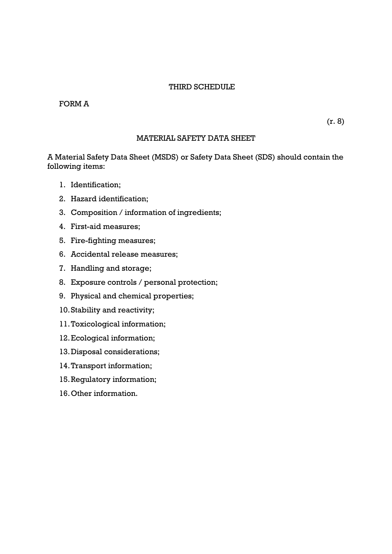### THIRD SCHEDULE

### FORM A

(r. 8)

#### MATERIAL SAFETY DATA SHEET

A Material Safety Data Sheet (MSDS) or Safety Data Sheet (SDS) should contain the following items:

- 1. Identification;
- 2. Hazard identification;
- 3. Composition / information of ingredients;
- 4. First-aid measures;
- 5. Fire-fighting measures;
- 6. Accidental release measures;
- 7. Handling and storage;
- 8. Exposure controls / personal protection;
- 9. Physical and chemical properties;
- 10.Stability and reactivity;
- 11.Toxicological information;
- 12.Ecological information;
- 13.Disposal considerations;
- 14.Transport information;
- 15.Regulatory information;
- 16.Other information.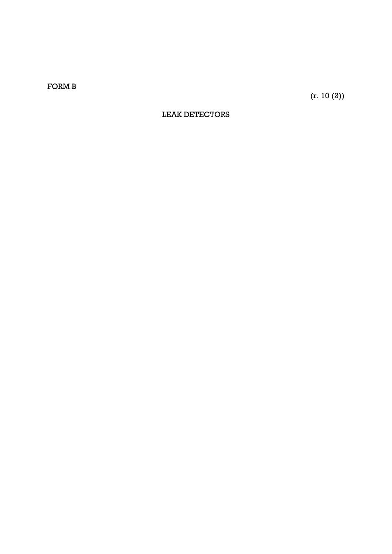FORM B

(r. 10 (2))

### LEAK DETECTORS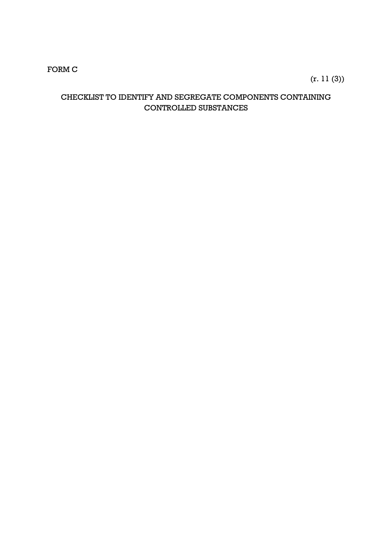# FORM C

# (r. 11 (3))

### CHECKLIST TO IDENTIFY AND SEGREGATE COMPONENTS CONTAINING CONTROLLED SUBSTANCES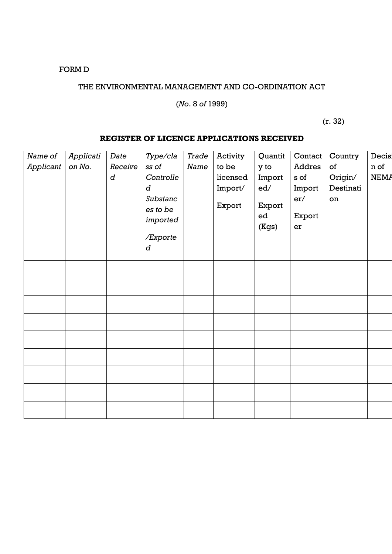# FORM D

# THE ENVIRONMENTAL MANAGEMENT AND CO-ORDINATION ACT

# (*No*. 8 *of* 1999)

 $(r. 32)$ 

#### **REGISTER OF LICENCE APPLICATIONS RECEIVED**

| Name of   | Applicati | Date             | Type/cla  | Trade | Activity | Quantit | Contact | Country   | Decis:      |
|-----------|-----------|------------------|-----------|-------|----------|---------|---------|-----------|-------------|
| Applicant | on No.    | Receive          | ss of     | Name  | to be    | y to    | Addres  | of        | n of        |
|           |           | $\boldsymbol{d}$ | Controlle |       | licensed | Import  | s of    | Origin/   | <b>NEMA</b> |
|           |           |                  | d         |       | Import/  | ed/     | Import  | Destinati |             |
|           |           |                  | Substanc  |       |          |         | er/     | on        |             |
|           |           |                  | es to be  |       | Export   | Export  |         |           |             |
|           |           |                  | imported  |       |          | ed      | Export  |           |             |
|           |           |                  |           |       |          | (Kgs)   | er      |           |             |
|           |           |                  | /Exporte  |       |          |         |         |           |             |
|           |           |                  | d         |       |          |         |         |           |             |
|           |           |                  |           |       |          |         |         |           |             |
|           |           |                  |           |       |          |         |         |           |             |
|           |           |                  |           |       |          |         |         |           |             |
|           |           |                  |           |       |          |         |         |           |             |
|           |           |                  |           |       |          |         |         |           |             |
|           |           |                  |           |       |          |         |         |           |             |
|           |           |                  |           |       |          |         |         |           |             |
|           |           |                  |           |       |          |         |         |           |             |
|           |           |                  |           |       |          |         |         |           |             |
|           |           |                  |           |       |          |         |         |           |             |
|           |           |                  |           |       |          |         |         |           |             |
|           |           |                  |           |       |          |         |         |           |             |
|           |           |                  |           |       |          |         |         |           |             |
|           |           |                  |           |       |          |         |         |           |             |
|           |           |                  |           |       |          |         |         |           |             |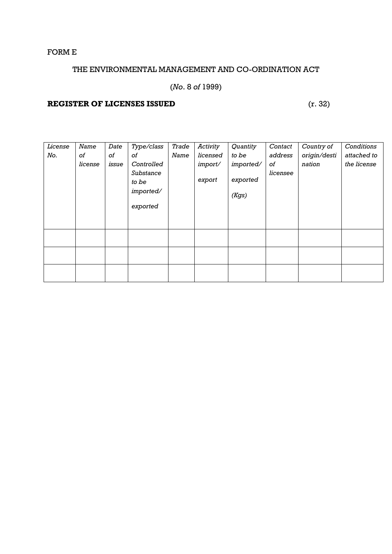# FORM E

# THE ENVIRONMENTAL MANAGEMENT AND CO-ORDINATION ACT

# (*No*. 8 *of* 1999)

# **REGISTER OF LICENSES ISSUED** (r. 32)

| License | Name    | Date  | Type/class | Trade | Activity | Quantity  | Contact  | Country of   | Conditions  |
|---------|---------|-------|------------|-------|----------|-----------|----------|--------------|-------------|
| No.     | оf      | 0f    | οf         | Name  | licensed | to be     | address  | origin/desti | attached to |
|         | license | issue | Controlled |       | import/  | imported/ | оf       | nation       | the license |
|         |         |       | Substance  |       |          |           | licensee |              |             |
|         |         |       | to be      |       | export   | exported  |          |              |             |
|         |         |       | imported/  |       |          | (Kgs)     |          |              |             |
|         |         |       | exported   |       |          |           |          |              |             |
|         |         |       |            |       |          |           |          |              |             |
|         |         |       |            |       |          |           |          |              |             |
|         |         |       |            |       |          |           |          |              |             |
|         |         |       |            |       |          |           |          |              |             |
|         |         |       |            |       |          |           |          |              |             |
|         |         |       |            |       |          |           |          |              |             |
|         |         |       |            |       |          |           |          |              |             |
|         |         |       |            |       |          |           |          |              |             |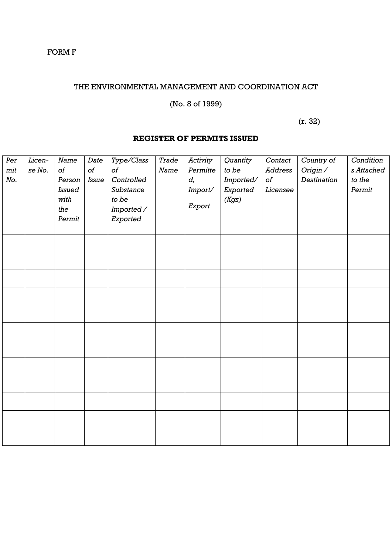### FORM F

### THE ENVIRONMENTAL MANAGEMENT AND COORDINATION ACT

# (No. 8 of 1999)

 $(r. 32)$ 

### **REGISTER OF PERMITS ISSUED**

| Per | Licen- | Name          | Date  | Type/Class | Trade | Activity | Quantity  | Contact        | Country of  | Condition  |
|-----|--------|---------------|-------|------------|-------|----------|-----------|----------------|-------------|------------|
| mit | se No. | of            | of    | of         | Name  | Permitte | to be     | <b>Address</b> | Origin /    | s Attached |
| No. |        | Person        | Issue | Controlled |       | d,       | Imported/ | of             | Destination | to the     |
|     |        | <b>Issued</b> |       | Substance  |       | Import/  | Exported  | Licensee       |             | Permit     |
|     |        | with          |       | to be      |       |          | (Kgs)     |                |             |            |
|     |        | the           |       | Imported / |       | Export   |           |                |             |            |
|     |        | Permit        |       | Exported   |       |          |           |                |             |            |
|     |        |               |       |            |       |          |           |                |             |            |
|     |        |               |       |            |       |          |           |                |             |            |
|     |        |               |       |            |       |          |           |                |             |            |
|     |        |               |       |            |       |          |           |                |             |            |
|     |        |               |       |            |       |          |           |                |             |            |
|     |        |               |       |            |       |          |           |                |             |            |
|     |        |               |       |            |       |          |           |                |             |            |
|     |        |               |       |            |       |          |           |                |             |            |
|     |        |               |       |            |       |          |           |                |             |            |
|     |        |               |       |            |       |          |           |                |             |            |
|     |        |               |       |            |       |          |           |                |             |            |
|     |        |               |       |            |       |          |           |                |             |            |
|     |        |               |       |            |       |          |           |                |             |            |
|     |        |               |       |            |       |          |           |                |             |            |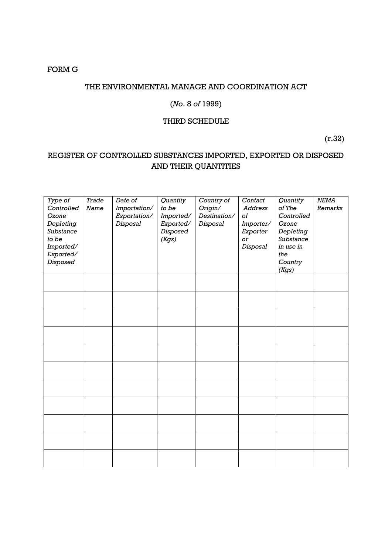### FORM G

### THE ENVIRONMENTAL MANAGE AND COORDINATION ACT

### (*No*. 8 *of* 1999)

#### THIRD SCHEDULE

(r.32)

# REGISTER OF CONTROLLED SUBSTANCES IMPORTED, EXPORTED OR DISPOSED AND THEIR QUANTITIES

| Type of<br>Controlled<br>Ozone<br>Depleting<br>Substance<br>to be<br>Imported/<br>Exported/<br><b>Disposed</b> | Trade<br>Name | Date of<br>Importation/<br>Exportation/<br>Disposal | Quantity<br>to be<br>Imported/<br>Exported/<br>Disposed<br>(Kgs) | Country of<br>Origin/<br>Destination/<br>Disposal | Contact<br>Address<br>of<br>Importer/<br>Exporter<br>or<br>Disposal | Quantity<br>of The<br>Controlled<br>Ozone<br>Depleting<br>Substance<br>in use in<br>the<br>Country<br>(Kgs) | NEMA<br>Remarks |
|----------------------------------------------------------------------------------------------------------------|---------------|-----------------------------------------------------|------------------------------------------------------------------|---------------------------------------------------|---------------------------------------------------------------------|-------------------------------------------------------------------------------------------------------------|-----------------|
|                                                                                                                |               |                                                     |                                                                  |                                                   |                                                                     |                                                                                                             |                 |
|                                                                                                                |               |                                                     |                                                                  |                                                   |                                                                     |                                                                                                             |                 |
|                                                                                                                |               |                                                     |                                                                  |                                                   |                                                                     |                                                                                                             |                 |
|                                                                                                                |               |                                                     |                                                                  |                                                   |                                                                     |                                                                                                             |                 |
|                                                                                                                |               |                                                     |                                                                  |                                                   |                                                                     |                                                                                                             |                 |
|                                                                                                                |               |                                                     |                                                                  |                                                   |                                                                     |                                                                                                             |                 |
|                                                                                                                |               |                                                     |                                                                  |                                                   |                                                                     |                                                                                                             |                 |
|                                                                                                                |               |                                                     |                                                                  |                                                   |                                                                     |                                                                                                             |                 |
|                                                                                                                |               |                                                     |                                                                  |                                                   |                                                                     |                                                                                                             |                 |
|                                                                                                                |               |                                                     |                                                                  |                                                   |                                                                     |                                                                                                             |                 |
|                                                                                                                |               |                                                     |                                                                  |                                                   |                                                                     |                                                                                                             |                 |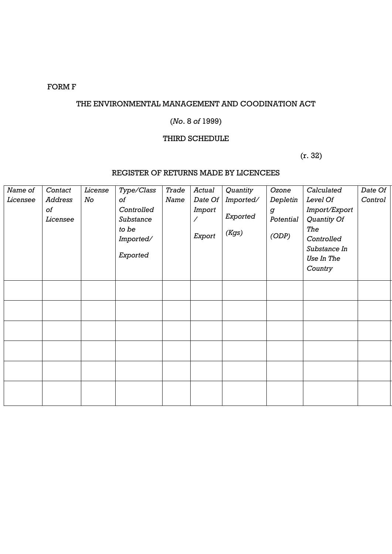# FORM F

### THE ENVIRONMENTAL MANAGEMENT AND COODINATION ACT

# (*No*. 8 *of* 1999)

### THIRD SCHEDULE

 $(r. 32)$ 

# REGISTER OF RETURNS MADE BY LICENCEES

| Name of  | Contact        | License | Type/Class | Trade | Actual  | Quantity  | Ozone            | Calculated    | Date Of |
|----------|----------------|---------|------------|-------|---------|-----------|------------------|---------------|---------|
| Licensee | <b>Address</b> | No      | of         | Name  | Date Of | Imported/ | Depletin         | Level Of      | Control |
|          | оf             |         | Controlled |       | Import  |           | $\boldsymbol{g}$ | Import/Export |         |
|          | Licensee       |         | Substance  |       |         | Exported  | Potential        | Quantity Of   |         |
|          |                |         | to be      |       |         | (Kgs)     | (ODP)            | The           |         |
|          |                |         | Imported/  |       | Export  |           |                  | Controlled    |         |
|          |                |         |            |       |         |           |                  | Substance In  |         |
|          |                |         | Exported   |       |         |           |                  |               |         |
|          |                |         |            |       |         |           |                  | Use In The    |         |
|          |                |         |            |       |         |           |                  | Country       |         |
|          |                |         |            |       |         |           |                  |               |         |
|          |                |         |            |       |         |           |                  |               |         |
|          |                |         |            |       |         |           |                  |               |         |
|          |                |         |            |       |         |           |                  |               |         |
|          |                |         |            |       |         |           |                  |               |         |
|          |                |         |            |       |         |           |                  |               |         |
|          |                |         |            |       |         |           |                  |               |         |
|          |                |         |            |       |         |           |                  |               |         |
|          |                |         |            |       |         |           |                  |               |         |
|          |                |         |            |       |         |           |                  |               |         |
|          |                |         |            |       |         |           |                  |               |         |
|          |                |         |            |       |         |           |                  |               |         |
|          |                |         |            |       |         |           |                  |               |         |
|          |                |         |            |       |         |           |                  |               |         |
|          |                |         |            |       |         |           |                  |               |         |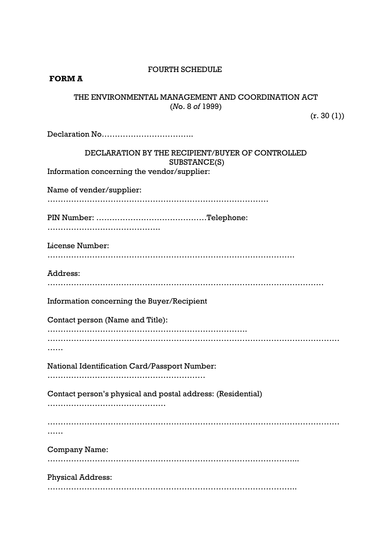### **FOURTH SCHEDULE**

### **FORM A**

### THE ENVIRONMENTAL MANAGEMENT AND COORDINATION ACT (*N*o. 8 *of* 1999)

 $(r. 30 (1))$ 

| DECLARATION BY THE RECIPIENT/BUYER OF CONTROLLED<br>SUBSTANCE(S) |
|------------------------------------------------------------------|
| Information concerning the vendor/supplier:                      |
| Name of vender/supplier:                                         |
|                                                                  |
| License Number:                                                  |
| Address:                                                         |
| Information concerning the Buyer/Recipient                       |
| Contact person (Name and Title):                                 |
| .                                                                |
| National Identification Card/Passport Number:                    |
|                                                                  |
| Contact person's physical and postal address: (Residential)      |
|                                                                  |
| <b>Company Name:</b>                                             |
| <b>Physical Address:</b>                                         |
|                                                                  |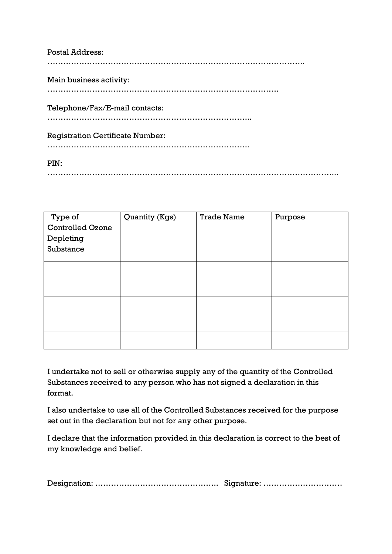| <b>Postal Address:</b>                  |
|-----------------------------------------|
| Main business activity:                 |
| Telephone/Fax/E-mail contacts:          |
| <b>Registration Certificate Number:</b> |
| PIN:                                    |

| Type of                 | Quantity (Kgs) | <b>Trade Name</b> | Purpose |
|-------------------------|----------------|-------------------|---------|
| <b>Controlled Ozone</b> |                |                   |         |
| Depleting               |                |                   |         |
| Substance               |                |                   |         |
|                         |                |                   |         |
|                         |                |                   |         |
|                         |                |                   |         |
|                         |                |                   |         |
|                         |                |                   |         |
|                         |                |                   |         |

………………………………………………………………………………………………...

I undertake not to sell or otherwise supply any of the quantity of the Controlled Substances received to any person who has not signed a declaration in this format.

I also undertake to use all of the Controlled Substances received for the purpose set out in the declaration but not for any other purpose.

I declare that the information provided in this declaration is correct to the best of my knowledge and belief.

|--|--|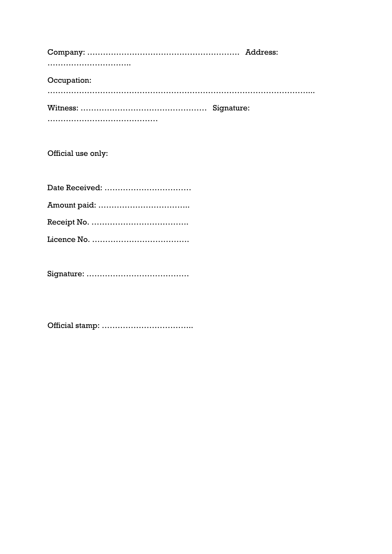| Occupation: |  |
|-------------|--|
|             |  |
|             |  |

Official use only:

| Date Received: |
|----------------|
|                |
|                |
|                |

Signature: …………………………………

Official stamp: ……………………………..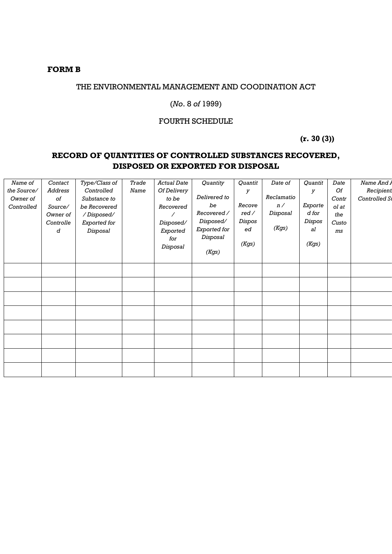### **FORM B**

### THE ENVIRONMENTAL MANAGEMENT AND COODINATION ACT

### (*No*. 8 *of* 1999)

#### FOURTH SCHEDULE

 **(r. 30 (3))**

# **RECORD OF QUANTITIES OF CONTROLLED SUBSTANCES RECOVERED, DISPOSED OR EXPORTED FOR DISPOSAL**

| Name of<br>the Source/<br>Owner of<br>Controlled | Contact<br>Address<br>$\it{of}$<br>Source/<br>Owner of<br>Controlle<br>d | Type/Class of<br>Controlled<br>Substance to<br>be Recovered<br>/Disposed/<br>Exported for<br>Disposal | Trade<br>Name | <b>Actual Date</b><br>Of Delivery<br>to be<br>Recovered<br>Γ<br>Disposed/<br>Exported<br>for<br>Disposal | Quantity<br>Delivered to<br>be<br>Recovered /<br>Disposed/<br>Exported for<br>Disposal<br>(Kgs) | Quantit<br>У<br>Recove<br>red/<br>Dispos<br>ed<br>(Kgs) | Date of<br>Reclamatio<br>n/<br>Disposal<br>(Kgs) | Quantit<br>У<br>Exporte<br>$d$ for<br>Dispos<br>al<br>(Kgs) | Date<br>Of<br>Contr<br>ol at<br>the<br>Custo<br>ms | Name And A<br>Recipient<br>Controlled St |
|--------------------------------------------------|--------------------------------------------------------------------------|-------------------------------------------------------------------------------------------------------|---------------|----------------------------------------------------------------------------------------------------------|-------------------------------------------------------------------------------------------------|---------------------------------------------------------|--------------------------------------------------|-------------------------------------------------------------|----------------------------------------------------|------------------------------------------|
|                                                  |                                                                          |                                                                                                       |               |                                                                                                          |                                                                                                 |                                                         |                                                  |                                                             |                                                    |                                          |
|                                                  |                                                                          |                                                                                                       |               |                                                                                                          |                                                                                                 |                                                         |                                                  |                                                             |                                                    |                                          |
|                                                  |                                                                          |                                                                                                       |               |                                                                                                          |                                                                                                 |                                                         |                                                  |                                                             |                                                    |                                          |
|                                                  |                                                                          |                                                                                                       |               |                                                                                                          |                                                                                                 |                                                         |                                                  |                                                             |                                                    |                                          |
|                                                  |                                                                          |                                                                                                       |               |                                                                                                          |                                                                                                 |                                                         |                                                  |                                                             |                                                    |                                          |
|                                                  |                                                                          |                                                                                                       |               |                                                                                                          |                                                                                                 |                                                         |                                                  |                                                             |                                                    |                                          |
|                                                  |                                                                          |                                                                                                       |               |                                                                                                          |                                                                                                 |                                                         |                                                  |                                                             |                                                    |                                          |
|                                                  |                                                                          |                                                                                                       |               |                                                                                                          |                                                                                                 |                                                         |                                                  |                                                             |                                                    |                                          |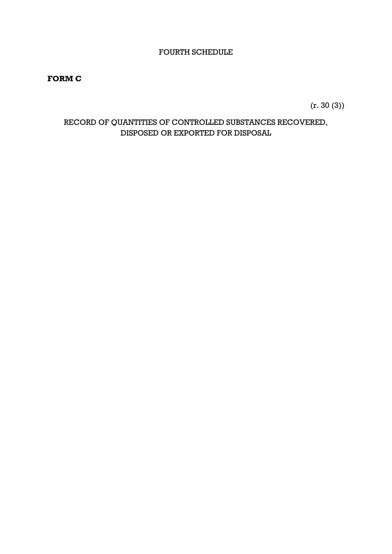### FOURTH SCHEDULE

### **FORM C**

(r. 30 (3))

# RECORD OF QUANTITIES OF CONTROLLED SUBSTANCES RECOVERED, DISPOSED OR EXPORTED FOR DISPOSAL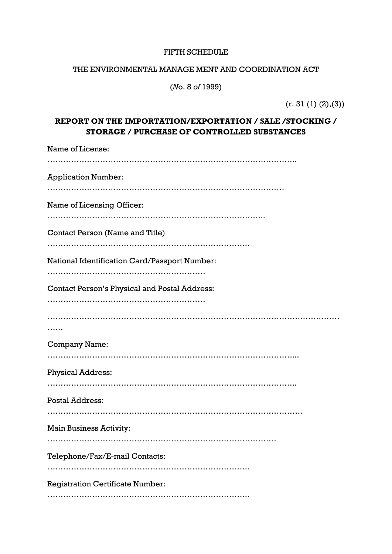#### FIFTH SCHEDULE

### THE ENVIRONMENTAL MANAGE MENT AND COORDINATION ACT

(*N*o. 8 *of* 1999)

 $(r. 31 (1) (2), (3))$ 

# **REPORT ON THE IMPORTATION/EXPORTATION / SALE /STOCKING / STORAGE / PURCHASE OF CONTROLLED SUBSTANCES**

| Name of License:                                     |
|------------------------------------------------------|
| <b>Application Number:</b>                           |
| Name of Licensing Officer:                           |
| Contact Person (Name and Title)                      |
| National Identification Card/Passport Number:<br>    |
| <b>Contact Person's Physical and Postal Address:</b> |
|                                                      |
| <b>Company Name:</b>                                 |
| <b>Physical Address:</b>                             |
| <b>Postal Address:</b>                               |
| <b>Main Business Activity:</b>                       |
| Telephone/Fax/E-mail Contacts:                       |
| <b>Registration Certificate Number:</b>              |
|                                                      |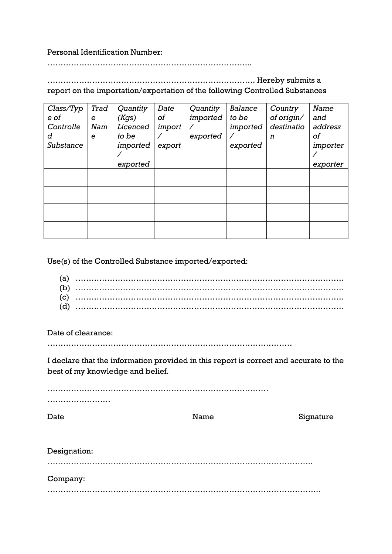### Personal Identification Number:

…………………………………………………………………...

### ……………………………………………………………………. Hereby submits a report on the importation/exportation of the following Controlled Substances

| Class/Typ<br>e of<br>Controlle<br>d<br>Substance | Trad<br>e<br>Nam<br>e | Quantity<br>(Kgs)<br>Licenced<br>to be<br>imported | Date<br>of<br>import<br>export | Quantity<br>imported<br>exported | Balance<br>to be<br>imported<br>exported | Country<br>of origin/<br>destinatio<br>n | Name<br>and<br>address<br>οf<br>importer |
|--------------------------------------------------|-----------------------|----------------------------------------------------|--------------------------------|----------------------------------|------------------------------------------|------------------------------------------|------------------------------------------|
|                                                  |                       | exported                                           |                                |                                  |                                          |                                          | exporter                                 |
|                                                  |                       |                                                    |                                |                                  |                                          |                                          |                                          |
|                                                  |                       |                                                    |                                |                                  |                                          |                                          |                                          |
|                                                  |                       |                                                    |                                |                                  |                                          |                                          |                                          |
|                                                  |                       |                                                    |                                |                                  |                                          |                                          |                                          |

Use(s) of the Controlled Substance imported/exported:

| (a) |  |
|-----|--|
| (b) |  |
| (c) |  |
| (d) |  |

Date of clearance:

…………………………………………………………………………………

I declare that the information provided in this report is correct and accurate to the best of my knowledge and belief.

Signature

………………………………………………………………………… ………………………

| Date         | Name | Sigr |
|--------------|------|------|
|              |      |      |
| Designation: |      |      |
|              |      |      |

Company: …………………………………………………………………………………………..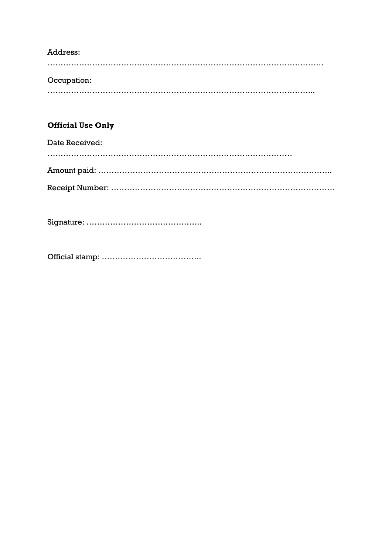# Address:

…………………………………………………………………………………………… Occupation: ………………………………………………………………………………………...

# **Official Use Only**

Date Received: ………………………………………………………………………………… Amount paid: …………………………………………………………………………….. Receipt Number: ………………………………………………………………………….

Signature: ……………………………………..

Official stamp: ………………………………..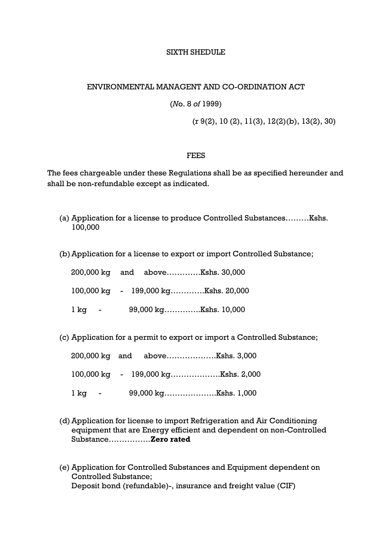## SIXTH SHEDULE

## ENVIRONMENTAL MANAGENT AND CO-ORDINATION ACT

(*N*o. 8 *of* 1999)

(r 9(2), 10 (2), 11(3), 12(2)(b), 13(2), 30)

## **FEES**

The fees chargeable under these Regulations shall be as specified hereunder and shall be non-refundable except as indicated.

- (a) Application for a license to produce Controlled Substances………Kshs. 100,000
- (b)Application for a license to export or import Controlled Substance;

|                            | 200,000 kg and aboveKshs. 30,000                         |  |
|----------------------------|----------------------------------------------------------|--|
|                            | $100,000 \text{ kg}$ - $199,000 \text{ kg}$ Kshs. 20,000 |  |
| l kg<br>and the company of | 99,000 kgKshs. 10,000                                    |  |

(c) Application for a permit to export or import a Controlled Substance;

| lkg - |  |  |
|-------|--|--|

- (d) Application for license to import Refrigeration and Air Conditioning equipment that are Energy efficient and dependent on non-Controlled Substance…………….**Zero rated**
- (e) Application for Controlled Substances and Equipment dependent on Controlled Substance; Deposit bond (refundable)-, insurance and freight value (CIF)